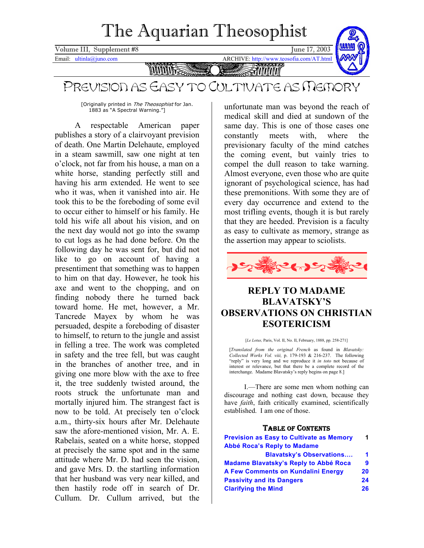# The Aquarian Theosophist

<span id="page-0-0"></span>Volume III, Supplement #8 June 17, 2003

Email: ultinla@juno.com ARCHIVE: http://www.teosofia.com/AT.html



**MUUL** SMMM

# PREVISION AS EASY TO CULTIVATE AS MEMORY

[Originally printed in The Theosophist for Jan. 1883 as "A Spectral Warning."]

A respectable American paper publishes a story of a clairvoyant prevision of death. One Martin Delehaute, employed in a steam sawmill, saw one night at ten o'clock, not far from his house, a man on a white horse, standing perfectly still and having his arm extended. He went to see who it was, when it vanished into air. He took this to be the foreboding of some evil to occur either to himself or his family. He told his wife all about his vision, and on the next day would not go into the swamp to cut logs as he had done before. On the following day he was sent for, but did not like to go on account of having a presentiment that something was to happen to him on that day. However, he took his axe and went to the chopping, and on finding nobody there he turned back toward home. He met, however, a Mr. Tancrede Mayex by whom he was persuaded, despite a foreboding of disaster to himself, to return to the jungle and assist in felling a tree. The work was completed in safety and the tree fell, but was caught in the branches of another tree, and in giving one more blow with the axe to free it, the tree suddenly twisted around, the roots struck the unfortunate man and mortally injured him. The strangest fact is now to be told. At precisely ten o'clock a.m., thirty-six hours after Mr. Delehaute saw the afore-mentioned vision, Mr. A. E. Rabelais, seated on a white horse, stopped at precisely the same spot and in the same attitude where Mr. D. had seen the vision, and gave Mrs. D. the startling information that her husband was very near killed, and then hastily rode off in search of Dr. Cullum. Dr. Cullum arrived, but the

unfortunate man was beyond the reach of medical skill and died at sundown of the same day. This is one of those cases one constantly meets with, where the previsionary faculty of the mind catches the coming event, but vainly tries to compel the dull reason to take warning. Almost everyone, even those who are quite ignorant of psychological science, has had these premonitions. With some they are of every day occurrence and extend to the most trifling events, though it is but rarely that they are heeded. Prevision is a faculty as easy to cultivate as memory, strange as the assertion may appear to sciolists.



### **REPLY TO MADAME BLAVATSKY'S OBSERVATIONS ON CHRISTIAN ESOTERICISM**

[*Le Lotus*, Paris, Vol. II, No. II, February, 1888, pp. 258-271]

[*Translated from the original French* as found in *Blavatsky: Collected Works Vol. viii,* p. 179-193 & 216-237. The following "reply" is very long and we reproduce it *in toto* not because of interest or relevance, but that there be a complete record of the interchange. Madame Blavatsky's reply begins on page 8.]

I.—There are some men whom nothing can discourage and nothing cast down, because they have *faith*, faith critically examined, scientifically established. I am one of those.

#### TABLE OF CONTENTS

| <b>Prevision as Easy to Cultivate as Memory</b> | 1  |
|-------------------------------------------------|----|
| Abbé Roca's Reply to Madame                     |    |
| <b>Blavatsky's Observations</b>                 | 1  |
| Madame Blavatsky's Reply to Abbé Roca           | 9  |
| A Few Comments on Kundalini Energy              | 20 |
| <b>Passivity and its Dangers</b>                | 24 |
| <b>Clarifying the Mind</b>                      | 26 |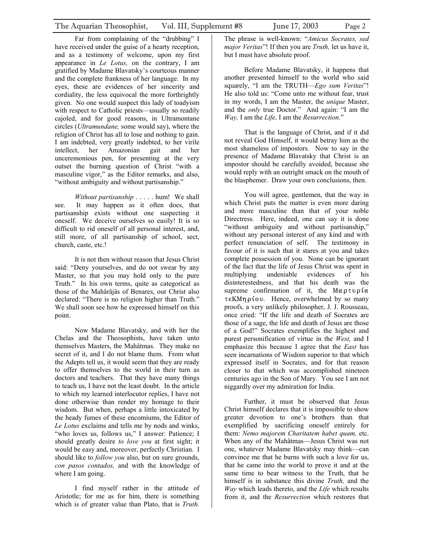Far from complaining of the "drubbing" I have received under the guise of a hearty reception, and as a testimony of welcome, upon my first appearance in *Le Lotus,* on the contrary, I am gratified by Madame Blavatsky's courteous manner and the complete frankness of her language. In my eyes, these are evidences of her sincerity and cordiality, the less equivocal the more forthrightly given. No one would suspect this lady of toadyism with respect to Catholic priests—usually so readily cajoled, and for good reasons, in Ultramontane circles (*Ultramundane,* some would say), where the religion of Christ has all to lose and nothing to gain. I am indebted, very greatly indebted, to her virile intellect, her Amazonian gait and her unceremonious pen, for presenting at the very outset the burning question of Christ "with a masculine vigor," as the Editor remarks, and also, "without ambiguity and without partisanship."

*Without partisanship* . . . . . hum! We shall see. It may happen as it often does, that partisanship exists without one suspecting it oneself. We deceive ourselves so easily! It is so difficult to rid oneself of all personal interest, and, still more, of all partisanship of school, sect, church, caste, etc.!

It is not then without reason that Jesus Christ said: "Deny yourselves, and do not swear by any Master, so that you may hold only to the pure Truth." In his own terms, quite as categorical as those of the Mahârâjâs of Benares, our Christ also declared: "There is no religion higher than Truth." We shall soon see how he expressed himself on this point.

Now Madame Blavatsky, and with her the Chelas and the Theosophists, have taken unto themselves Masters, the Mahâtmas. They make no secret of it, and I do not blame them. From what the Adepts tell us, it would seem that they are ready to offer themselves to the world in their turn as doctors and teachers. That they have many things to teach us, I have not the least doubt. In the article to which my learned interlocutor replies, I have not done otherwise than render my homage to their wisdom. But when, perhaps a little intoxicated by the heady fumes of these encomiums, the Editor of *Le Lotus* exclaims and tells me by nods and winks, "who loves us, follows us," I answer: Patience; I should greatly desire *to love you* at first sight; it would be easy and, moreover, perfectly Christian. I should like to *follow you* also, but on sure grounds, *con pasos contados,* and with the knowledge of where I am going.

I find myself rather in the attitude of Aristotle; for me as for him, there is something which is of greater value than Plato, that is *Truth.* 

The phrase is well-known: "*Amicus Socrates, sed major Veritas*"! If then you are *Truth,* let us have it, but I must have absolute proof.

Before Madame Blavatsky, it happens that another presented himself to the world who said squarely, "I am the TRUTH—*Ego sum Veritas*"! He also told us: "Come unto me without fear, trust in my words, I am the Master, the *unique* Master, and the *only* true Doctor." And again: "I am the *Way,* I am the *Life,* I am the *Resurrection.*"

That is the language of Christ, and if it did not reveal God Himself, it would betray him as the most shameless of impostors. Now to say in the presence of Madame Blavatsky that Christ is an impostor should be carefully avoided, because she would reply with an outright smack on the mouth of the blasphemer. Draw your own conclusions, then.

You will agree, gentlemen, that the way in which Christ puts the matter is even more daring and more masculine than that of your noble Directress. Here, indeed, one can say it is done "without ambiguity and without partisanship," without any personal interest of any kind and with perfect renunciation of self. The testimony in favour of it is such that it stares at you and takes complete possession of you. None can be ignorant of the fact that the life of Jesus Christ was spent in multiplying undeniable evidences of his disinterestedness, and that his death was the supreme confirmation of it, the  $M\alpha \rho \tau \nu \rho i \alpha$  $\tau \in KM \eta \rho$  *iov.* Hence, overwhelmed by so many proofs, a very unlikely philosopher, J. J. Rousseau, once cried: "If the life and death of Socrates are those of a sage, the life and death of Jesus are those of a God!" Socrates exemplifies the highest and purest personification of virtue in the *West,* and I emphasize this because I agree that the *East* has seen incarnations of Wisdom superior to that which expressed itself in Socrates, and for that reason closer to that which was accomplished nineteen centuries ago in the Son of Mary. You see I am not niggardly over my admiration for India.

Further, it must be observed that Jesus Christ himself declares that it is impossible to show greater devotion to one's brothers than that exemplified by sacrificing oneself entirely for them: *Nemo majorem Charitatem habet quam,* etc. When any of the Mahâtmas—Jesus Christ was not one, whatever Madame Blavatsky may think—can convince me that he burns with such a love for us, that he came into the world to prove it and at the same time to bear witness to the Truth, that he himself is in substance this divine *Truth,* and the *Way* which leads thereto, and the *Life* which results from it, and the *Resurrection* which restores that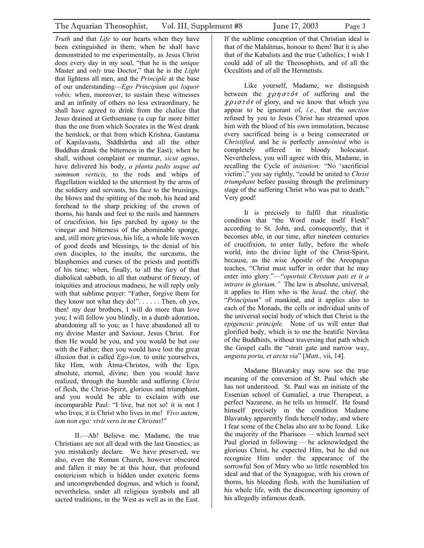*Truth* and that *Life* to our hearts when they have been extinguished in them; when he shall have demonstrated to me experimentally, as Jesus Christ does every day in my soul, "that he is the *unique*  Master and *only* true Doctor," that he is the *Light*  that lightens all men, and the *Principle* at the base of our understanding—*Ego Principium qui loquor vobis;* when, moreover, to sustain these witnesses and an infinity of others no less extraordinary, he shall have agreed to drink from the chalice that Jesus drained at Gethsemane (a cup far more bitter than the one from which Socrates in the West drank the hemlock, or that from which Krishna, Gautama of Kapilavastu, Siddhârtha and all the other Buddhas drank the bitterness in the East); when he shall, without complaint or murmur, *sicut agnus,*  have delivered his body, *a planta pedis usque ad summum verticis,* to the rods and whips of flagellation wielded to the uttermost by the arms of the soldiery and servants, his face to the bruisings, the blows and the spitting of the mob, his head and forehead to the sharp pricking of the crown of thorns, his hands and feet to the nails and hammers of crucifixion, his lips parched by agony to the vinegar and bitterness of the abominable sponge, and, still more grievous, his life, a whole life woven of good deeds and blessings, to the denial of his own disciples, to the insults, the sarcasms, the blasphemies and curses of the priests and pontiffs of his time; when, finally, to all the fury of that diabolical sabbath, to all that outburst of frenzy, of iniquities and atrocious madness, he will reply only with that sublime prayer: "Father, forgive them for they know not what they do!". . . . . . Then, oh yes, then! my dear brothers, I will do more than love you; I will follow you blindly, in a dumb adoration, abandoning all to you; as I have abandoned all to my divine Master and Saviour, Jesus Christ. For then He would be you, and you would be but *one*  with the Father; then you would have lost the great illusion that is called *Ego-ism,* to unite yourselves, like Him, with Âtma-Christos, with the Ego, absolute, eternal, divine; then you would have realized, through the humble and suffering *Christ*  of flesh, the Christ-Spirit, glorious and triumphant, and you would be able to exclaim with our incomparable Paul: "I live, but not so! it is not I who lives, it is Christ who lives in me! *Vivo autem, iam non ego: vivit vero in me Christus*!"

II.—Ah! Believe me, Madame, the true Christians are not all dead with the last Gnostics, as you mistakenly declare. We have preserved, we also, even the Roman Church, however obscured and fallen it may be at this hour, that profound esotericism which is hidden under exoteric forms and uncomprehended dogmas, and which is found, nevertheless, under all religious symbols and all sacred traditions, in the West as well as in the East.

Like yourself, Madame, we distinguish between the  $\chi \rho \eta \sigma \tau \delta s$  of suffering and the  $\chi \rho \nu \sigma \tau \acute{\sigma} s$  of glory, and we know that which you appear to be ignorant of, *i.e.,* that the *unction*  refused by you to Jesus Christ has streamed upon him with the blood of his own immolation, because every sacrificed being is a being consecrated or *Christified,* and he is perfectly *annointed* who is completely offered in bloody holocaust. Nevertheless, you will agree with this, Madame, in recalling the Cycle of *initiation:* "No 'sacrificial victim'," you say rightly, "could be united to *Christ triumphant* before passing through the preliminary stage of the suffering Christ who was put to death." Very good!

It is precisely to fulfil that ritualistic condition that "the Word made itself Flesh" according to St. John, and, consequently, that it becomes able, in our time, after nineteen centuries of crucifixion, to enter fully, before the whole world, into the divine light of the Christ-Spirit, because, as the wise Apostle of the Areopagus teaches, "Christ must suffer in order that he may enter into glory."—"*oportuit Christum pati et it a intrare in gloriam."* The law is absolute, universal, it applies to Him who is the *head,* the *chief,* the "*Principium*" of mankind, and it applies also to each of the Monads, the cells or individual units of the universal social body of which that Christ is the *epigenesic principle.* None of us will enter that glorified body, which is to me the beatific Nirvâna of the Buddhists, without traversing that path which the Gospel calls the "strait gate and narrow way, *angusta porta, et arcta via*" [*Matt.,* vii, 14].

Madame Blavatsky may now see the true meaning of the conversion of St. Paul which she has not understood. St. Paul was an initiate of the Essenian school of Gamaliel, a true Therapeut, a perfect Nazarene, as he tells us himself. He found himself precisely in the condition Madame Blavatsky apparently finds herself today, and where I fear some of the Chelas also are to be found. Like the majority of the Pharisees — which learned sect Paul gloried in following — he acknowledged the glorious Christ, he expected Him, but he did not recognize Him under the appearance of the sorrowful Son of Mary who so little resembled his ideal and that of the Synagogue, with his crown of thorns, his bleeding flesh, with the humiliation of his whole life, with the disconcerting ignominy of his allegedly infamous death.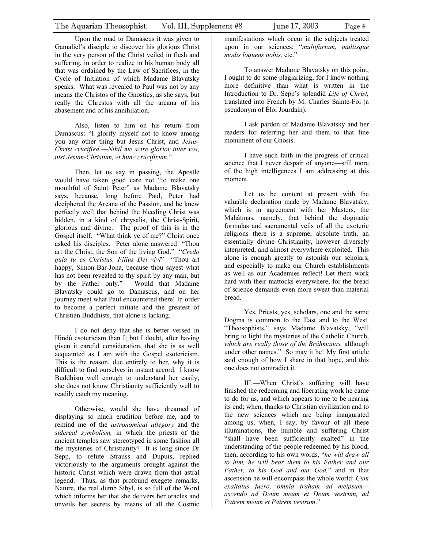Upon the road to Damascus it was given to Gamaliel's disciple to discover his glorious Christ in the very person of the Christ veiled in flesh and suffering, in order to realize in his human body all that was ordained by the Law of Sacrifices, in the Cycle of Initiation of which Madame Blavatsky speaks. What was revealed to Paul was not by any means the Christos of the Gnostics, as she says, but really the Chrestos with all the arcana of his abasement and of his annihilation.

Also, listen to him on his return from Damascus: "I glorify myself not to know among you any other thing but Jesus Christ, and *Jesus-Christ crucified.––Nihil me scire glorior inter vos, nisi Jesum-Christum, et hunc crucifixum.*"

Then, let us say in passing, the Apostle would have taken good care not "to make one mouthful of Saint Peter" as Madame Blavatsky says, because, long before Paul, Peter had deciphered the Arcana of the Passion, and he knew perfectly well that behind the bleeding Christ was hidden, in a kind of chrysalis, the Christ-Spirit, glorious and divine. The proof of this is in the Gospel itself. "What think ye of me?" Christ once asked his disciples. Peter alone answered: "Thou art the Christ, the Son of the living God." "*Credo quia tu es Christus, Filius Dei vivi*"––"Thou art happy, Simon-Bar-Jona, because thou sayest what has not been revealed to thy spirit by any man, but by the Father only." Would that Madame Blavatsky could go to Damascus, and on her journey meet what Paul encountered there! In order to become a perfect initiate and the greatest of Christian Buddhists, that alone is lacking.

I do not deny that she is better versed in Hindû esotericism than I; but I doubt, after having given it careful consideration, that she is as well acquainted as I am with the Gospel esotericism. This is the reason, due entirely to her, why it is difficult to find ourselves in instant accord. I know Buddhism well enough to understand her easily; she does not know Christianity sufficiently well to readily catch my meaning.

Otherwise, would she have dreamed of displaying so much erudition before me, and to remind me of the *astronomical allegory* and the *sidereal symbolism,* in which the priests of the ancient temples saw stereotyped in some fashion all the mysteries of Christianity? It is long since Dr Sepp, to refute Strauss and Dupuis, replied victoriously to the arguments brought against the historic Christ which were drawn from that astral legend. Thus, as that profound exegete remarks, Nature, the real dumb Sibyl, is so full of the Word which informs her that she delivers her oracles and unveils her secrets by means of all the Cosmic

manifestations which occur in the subjects treated upon in our sciences; "*multifariam, multisque modis loquens nobis,* etc."

To answer Madame Blavatsky on this point, I ought to do some plagiarizing, for I know nothing more definitive than what is written in the Introduction to Dr. Sepp's splendid *Life of Christ,*  translated into French by M. Charles Sainte-Foi (a pseudonym of Éloi Jourdain).

I ask pardon of Madame Blavatsky and her readers for referring her and them to that fine monument of our Gnosis.

I have such faith in the progress of critical science that I never despair of anyone—still more of the high intelligences I am addressing at this moment.

Let us be content at present with the valuable declaration made by Madame Blavatsky, which is in agreement with her Masters, the Mahâtmas, namely, that behind the dogmatic formulas and sacramental veils of all the exoteric religions there is a supreme, absolute truth, an essentially divine Christianity, however diversely interpreted, and almost everywhere exploited. This alone is enough greatly to astonish our scholars, and especially to make our Church establishments as well as our Academies reflect! Let them work hard with their mattocks everywhere, for the bread of science demands even more sweat than material bread.

Yes, Priests, yes, scholars, one and the same Dogma is common to the East and to the West. "Theosophists," says Madame Blavatsky, "will bring to light the mysteries of the Catholic Church, *which are really those of the Brâhmanas,* although under other names." So may it be! My first article said enough of how I share in that hope, and this one does not contradict it.

III.—When Christ's suffering will have finished the redeeming and liberating work he came to do for us, and which appears to me to be nearing its end; when, thanks to Christian civilization and to the new sciences which are being inaugurated among us, when, I say, by favour of all these illuminations, the humble and suffering Christ "shall have been sufficiently exalted" in the understanding of the people redeemed by his blood, then, according to his own words, "*he will draw all to him, he will bear them to his Father and our Father, to his God and our God,*" and in that ascension he will encompass the whole world: *Cum exaltatus fuero, omnia traham ad meipsum ascendo ad Deum meum et Deum vestrum, ad Patrem meum et Patrem vestrum*."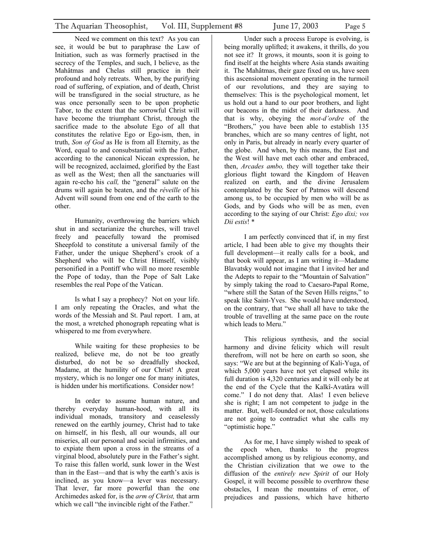Need we comment on this text? As you can see, it would be but to paraphrase the Law of Initiation, such as was formerly practised in the secrecy of the Temples, and such, I believe, as the Mahâtmas and Chelas still practice in their profound and holy retreats. When, by the purifying road of suffering, of expiation, and of death, Christ will be transfigured in the social structure, as he was once personally seen to be upon prophetic Tabor, to the extent that the sorrowful Christ will have become the triumphant Christ, through the sacrifice made to the absolute Ego of all that constitutes the relative Ego or Ego-ism, then, in truth, *Son of God* as He is from all Eternity, as the Word, equal to and consubstantial with the Father, according to the canonical Nicean expression, he will be recognized, acclaimed, glorified by the East as well as the West; then all the sanctuaries will again re-echo his *call,* the "general" salute on the drums will again be beaten, and the *réveille* of his Advent will sound from one end of the earth to the other.

Humanity, overthrowing the barriers which shut in and sectarianize the churches, will travel freely and peacefully toward the promised Sheepfold to constitute a universal family of the Father, under the unique Shepherd's crook of a Shepherd who will be Christ Himself, visibly personified in a Pontiff who will no more resemble the Pope of today, than the Pope of Salt Lake resembles the real Pope of the Vatican.

Is what I say a prophecy? Not on your life. I am only repeating the Oracles, and what the words of the Messiah and St. Paul report. I am, at the most, a wretched phonograph repeating what is whispered to me from everywhere.

While waiting for these prophesies to be realized, believe me, do not be too greatly disturbed, do not be so dreadfully shocked, Madame, at the humility of our Christ! A great mystery, which is no longer one for many initiates, is hidden under his mortifications. Consider now!

In order to assume human nature, and thereby everyday human-hood, with all its individual monads, transitory and ceaselessly renewed on the earthly journey, Christ had to take on himself, in his flesh, all our wounds, all our miseries, all our personal and social infirmities, and to expiate them upon a cross in the streams of a virginal blood, absolutely pure in the Father's sight. To raise this fallen world, sunk lower in the West than in the East—and that is why the earth's axis is inclined, as you know—a lever was necessary. That lever, far more powerful than the one Archimedes asked for, is the *arm of Christ,* that arm which we call "the invincible right of the Father."

Under such a process Europe is evolving, is being morally uplifted; it awakens, it thrills, do you not see it? It grows, it mounts, soon it is going to find itself at the heights where Asia stands awaiting it. The Mahâtmas, their gaze fixed on us, have seen this ascensional movement operating in the turmoil of our revolutions, and they are saying to themselves: This is the psychological moment, let us hold out a hand to our poor brothers, and light our beacons in the midst of their darkness. And that is why, obeying the *mot-d'ordre* of the "Brothers," you have been able to establish 135 branches, which are so many centres of light, not only in Paris, but already in nearly every quarter of the globe. And when, by this means, the East and the West will have met each other and embraced, then, *Arcades ambo,* they will together take their glorious flight toward the Kingdom of Heaven realized on earth, and the divine Jerusalem contemplated by the Seer of Patmos will descend among us, to be occupied by men who will be as Gods, and by Gods who will be as men, even according to the saying of our Christ: *Ego dixi; vos Dii estis*! \*

I am perfectly convinced that if, in my first article, I had been able to give my thoughts their full development—it really calls for a book, and that book will appear, as I am writing it—Madame Blavatsky would not imagine that I invited her and the Adepts to repair to the "Mountain of Salvation" by simply taking the road to Caesaro-Papal Rome, "where still the Satan of the Seven Hills reigns," to speak like Saint-Yves. She would have understood, on the contrary, that "we shall all have to take the trouble of travelling at the same pace on the route which leads to Meru."

This religious synthesis, and the social harmony and divine felicity which will result therefrom, will not be here on earth so soon, she says: "We are but at the beginning of Kali-Yuga, of which 5,000 years have not yet elapsed while its full duration is 4,320 centuries and it will only be at the end of the Cycle that the Kalkî-Avatâra will come." I do not deny that. Alas! I even believe she is right; I am not competent to judge in the matter. But, well-founded or not, those calculations are not going to contradict what she calls my "optimistic hope."

As for me, I have simply wished to speak of the epoch when, thanks to the progress accomplished among us by religious economy, and the Christian civilization that we owe to the diffusion of the *entirely new Spirit* of our Holy Gospel, it will become possible to overthrow these obstacles, I mean the mountains of error, of prejudices and passions, which have hitherto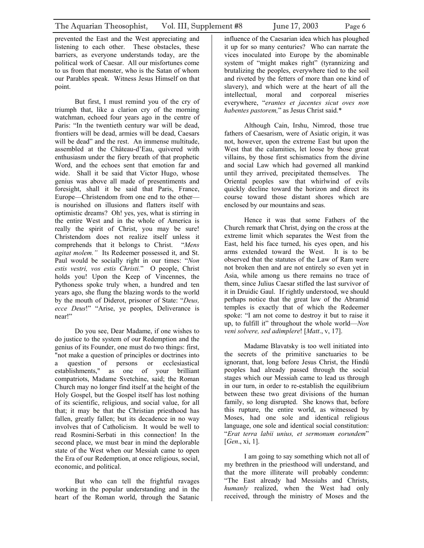prevented the East and the West appreciating and listening to each other. These obstacles, these barriers, as everyone understands today, are the political work of Caesar. All our misfortunes come to us from that monster, who is the Satan of whom our Parables speak. Witness Jesus Himself on that point.

But first, I must remind you of the cry of triumph that, like a clarion cry of the morning watchman, echoed four years ago in the centre of Paris: "In the twentieth century war will be dead, frontiers will be dead, armies will be dead, Caesars will be dead" and the rest. An immense multitude, assembled at the Château-d'Eau, quivered with enthusiasm under the fiery breath of that prophetic Word, and the echoes sent that emotion far and wide. Shall it be said that Victor Hugo, whose genius was above all made of presentiments and foresight, shall it be said that Paris, France, Europe—Christendom from one end to the other is nourished on illusions and flatters itself with optimistic dreams? Oh! yes, yes, what is stirring in the entire West and in the whole of America is really the spirit of Christ, you may be sure! Christendom does not realize itself unless it comprehends that it belongs to Christ. "*Mens agitat molem."* Its Redeemer possessed it, and St. Paul would be socially right in our times: "*Non estis vestri, vos estis Christi.*" O people, Christ holds you! Upon the Keep of Vincennes, the Pythoness spoke truly when, a hundred and ten years ago, she flung the blazing words to the world by the mouth of Diderot, prisoner of State: "*Deus, ecce Deus*!" "Arise, ye peoples, Deliverance is near!"

Do you see, Dear Madame, if one wishes to do justice to the system of our Redemption and the genius of its Founder, one must do two things: first, "not make a question of principles or doctrines into a question of persons or ecclesiastical establishments," as one of your brilliant compatriots, Madame Svetchine, said; the Roman Church may no longer find itself at the height of the Holy Gospel, but the Gospel itself has lost nothing of its scientific, religious, and social value, for all that; it may be that the Christian priesthood has fallen, greatly fallen; but its decadence in no way involves that of Catholicism. It would be well to read Rosmini-Serbati in this connection! In the second place, we must bear in mind the deplorable state of the West when our Messiah came to open the Era of our Redemption, at once religious, social, economic, and political.

But who can tell the frightful ravages working in the popular understanding and in the heart of the Roman world, through the Satanic

influence of the Caesarian idea which has ploughed it up for so many centuries? Who can narrate the vices inoculated into Europe by the abominable system of "might makes right" (tyrannizing and brutalizing the peoples, everywhere tied to the soil and riveted by the fetters of more than one kind of slavery), and which were at the heart of all the intellectual, moral and corporeal miseries everywhere, "*erantes et jacentes sicut oves non habentes pastorem,*" as Jesus Christ said.\*

Although Cain, Irshu, Nimrod, those true fathers of Caesarism, were of Asiatic origin, it was not, however, upon the extreme East but upon the West that the calamities, let loose by those great villains, by those first schismatics from the divine and social Law which had governed all mankind until they arrived, precipitated themselves. The Oriental peoples saw that whirlwind of evils quickly decline toward the horizon and direct its course toward those distant shores which are enclosed by our mountains and seas.

Hence it was that some Fathers of the Church remark that Christ, dying on the cross at the extreme limit which separates the West from the East, held his face turned, his eyes open, and his arms extended toward the West. It is to be observed that the statutes of the Law of Ram were not broken then and are not entirely so even yet in Asia, while among us there remains no trace of them, since Julius Caesar stifled the last survivor of it in Druidic Gaul. If rightly understood, we should perhaps notice that the great law of the Abramid temples is exactly that of which the Redeemer spoke: "I am not come to destroy it but to raise it up, to fulfill it" throughout the whole world—*Non veni solvere, sed adimplere*! [*Matt*., v, 17].

Madame Blavatsky is too well initiated into the secrets of the primitive sanctuaries to be ignorant, that, long before Jesus Christ, the Hindû peoples had already passed through the social stages which our Messiah came to lead us through in our turn, in order to re-establish the equilibrium between these two great divisions of the human family, so long disrupted. She knows that, before this rupture, the entire world, as witnessed by Moses, had one sole and identical religious language, one sole and identical social constitution: "*Erat terra labii unius, et sermonum eorundem*" [*Gen*., xi, 1].

I am going to say something which not all of my brethren in the priesthood will understand, and that the more illiterate will probably condemn: "The East already had Messiahs and Christs, *humanly* realized, when the West had only received, through the ministry of Moses and the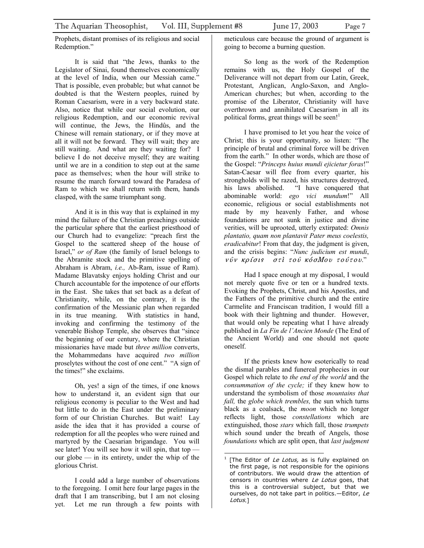Prophets, distant promises of its religious and social Redemption."

It is said that "the Jews, thanks to the Legislator of Sinai, found themselves economically at the level of India, when our Messiah came." That is possible, even probable; but what cannot be doubted is that the Western peoples, ruined by Roman Caesarism, were in a very backward state. Also, notice that while our social evolution, our religious Redemption, and our economic revival will continue, the Jews, the Hindûs, and the Chinese will remain stationary, or if they move at all it will not be forward. They will wait; they are still waiting. And what are they waiting for? I believe I do not deceive myself; they are waiting until we are in a condition to step out at the same pace as themselves; when the hour will strike to resume the march forward toward the Paradesa of Ram to which we shall return with them, hands clasped, with the same triumphant song.

And it is in this way that is explained in my mind the failure of the Christian preachings outside the particular sphere that the earliest priesthood of our Church had to evangelize: "preach first the Gospel to the scattered sheep of the house of Israel," *or of Ram* (the family of Israel belongs to the Abramite stock and the primitive spelling of Abraham is Abram, *i.e.,* Ab-Ram, issue of Ram). Madame Blavatsky enjoys holding Christ and our Church accountable for the impotence of our efforts in the East. She takes that set back as a defeat of Christianity, while, on the contrary, it is the confirmation of the Messianic plan when regarded in its true meaning. With statistics in hand, invoking and confirming the testimony of the venerable Bishop Temple, she observes that "since the beginning of our century, where the Christian missionaries have made but *three million* converts, the Mohammedans have acquired *two million*  proselytes without the cost of one cent." "A sign of the times!" she exclaims.

Oh, yes! a sign of the times, if one knows how to understand it, an evident sign that our religious economy is peculiar to the West and had but little to do in the East under the preliminary form of our Christian Churches. But wait! Lay aside the idea that it has provided a course of redemption for all the peoples who were ruined and martyred by the Caesarian brigandage. You will see later! You will see how it will spin, that top our globe — in its entirety, under the whip of the glorious Christ.

I could add a large number of observations to the foregoing. I omit here four large pages in the draft that I am transcribing, but I am not closing yet. Let me run through a few points with meticulous care because the ground of argument is going to become a burning question.

So long as the work of the Redemption remains with us, the Holy Gospel of the Deliverance will not depart from our Latin, Greek, Protestant, Anglican, Anglo-Saxon, and Anglo-American churches; but when, according to the promise of the Liberator, Christianity will have overthrown and annihilated Caesarism in all its political forms, great things will be seen!<sup>1</sup>

I have promised to let you hear the voice of Christ; this is your opportunity, so listen: "The principle of brutal and criminal force will be driven from the earth." In other words, which are those of the Gospel: "*Princeps huius mundi ejicietur foras*!" Satan-Caesar will flee from every quarter, his strongholds will be razed, his structures destroyed, his laws abolished. "I have conquered that abominable world: *ego vici mundum*!" All economic, religious or social establishments not made by my heavenly Father, and whose foundations are not sunk in justice and divine verities, will be uprooted, utterly extirpated: *Omnis plantatio, quam non plantavit Pater meus coelestis, eradicabitur*! From that day, the judgment is given, and the crisis begins: "*Nunc judicium est mundi*, νύν κρίσις στι τού κόσΜου τούτου."

Had I space enough at my disposal, I would not merely quote five or ten or a hundred texts. Evoking the Prophets, Christ, and his Apostles, and the Fathers of the primitive church and the entire Carmelite and Franciscan tradition, I would fill a book with their lightning and thunder. However, that would only be repeating what I have already published in *La Fin de l'Ancien Monde* (The End of the Ancient World) and one should not quote oneself.

If the priests knew how esoterically to read the dismal parables and funereal prophecies in our Gospel which relate to *the end of the world* and the *consummation of the cycle;* if they knew how to understand the symbolism of those *mountains that fall,* the *globe which trembles,* the sun which turns black as a coalsack, the *moon* which no longer reflects light, those *constellations* which are extinguished, those *stars* which fall, those *trumpets*  which sound under the breath of Angels, those *foundations* which are split open, that *last judgment* 

<span id="page-6-0"></span> $\overline{a}$ 1 [The Editor of Le Lotus, as is fully explained on the first page, is not responsible for the opinions of contributors. We would draw the attention of censors in countries where Le Lotus goes, that this is a controversial subject, but that we ourselves, do not take part in politics.-Editor, Le Lotus.]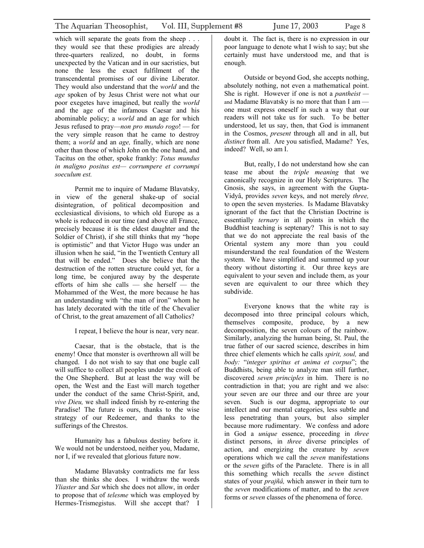which will separate the goats from the sheep . . . they would see that these prodigies are already three-quarters realized, no doubt, in forms unexpected by the Vatican and in our sacristies, but none the less the exact fulfilment of the transcendental promises of our divine Liberator. They would also understand that the *world* and the *age* spoken of by Jesus Christ were not what our poor exegetes have imagined, but really the *world*  and the age of the infamous Caesar and his abominable policy; a *world* and an age for which Jesus refused to pray—*non pro mundo rogo*! — for the very simple reason that he came to destroy them; a *world* and an *age,* finally, which are none other than those of which John on the one hand, and Tacitus on the other, spoke frankly: *Totus mundus in maligno positus est— corrumpere et corrumpi soeculum est.*

Permit me to inquire of Madame Blavatsky, in view of the general shake-up of social disintegration, of political decomposition and ecclesiastical divisions, to which old Europe as a whole is reduced in our time (and above all France, precisely because it is the eldest daughter and the Soldier of Christ), if she still thinks that my "hope is optimistic" and that Victor Hugo was under an illusion when he said, "in the Twentieth Century all that will be ended." Does she believe that the destruction of the rotten structure could yet, for a long time, be conjured away by the desperate efforts of him she calls — she herself — the Mohammed of the West, the more because he has an understanding with "the man of iron" whom he has lately decorated with the title of the Chevalier of Christ, to the great amazement of all Catholics?

I repeat, I believe the hour is near, very near.

Caesar, that is the obstacle, that is the enemy! Once that monster is overthrown all will be changed. I do not wish to say that one bugle call will suffice to collect all peoples under the crook of the One Shepherd. But at least the way will be open, the West and the East will march together under the conduct of the same Christ-Spirit, and, *vive Dieu,* we shall indeed finish by re-entering the Paradise! The future is ours, thanks to the wise strategy of our Redeemer, and thanks to the sufferings of the Chrestos.

Humanity has a fabulous destiny before it. We would not be understood, neither you, Madame, nor I, if we revealed that glorious future now.

Madame Blavatsky contradicts me far less than she thinks she does. I withdraw the words *Yliaster* and *Sat* which she does not allow, in order to propose that of *telesme* which was employed by Hermes-Trismegistus. Will she accept that? I

doubt it. The fact is, there is no expression in our poor language to denote what I wish to say; but she certainly must have understood me, and that is enough.

Outside or beyond God, she accepts nothing, absolutely nothing, not even a mathematical point. She is right. However if one is not a *pantheist*  and Madame Blavatsky is no more that than I am one must express oneself in such a way that our readers will not take us for such. To be better understood, let us say, then, that God is immanent in the Cosmos, *present* through all and in all, but *distinct* from all. Are you satisfied, Madame? Yes, indeed? Well, so am I.

But, really, I do not understand how she can tease me about the *triple meaning* that we canonically recognize in our Holy Scriptures. The Gnosis, she says, in agreement with the Gupta-Vidyâ, provides *seven* keys, and not merely *three,*  to open the seven mysteries. Is Madame Blavatsky ignorant of the fact that the Christian Doctrine is essentially *ternary* in all points in which the Buddhist teaching is septenary? This is not to say that we do not appreciate the real basis of the Oriental system any more than you could misunderstand the real foundation of the Western system. We have simplified and summed up your theory without distorting it. Our three keys are equivalent to your seven and include them, as your seven are equivalent to our three which they subdivide.

Everyone knows that the white ray is decomposed into three principal colours which, themselves composite, produce, by a new decomposition, the seven colours of the rainbow. Similarly, analyzing the human being, St. Paul, the true father of our sacred science, describes in him three chief elements which he calls *spirit, soul,* and *body:* "*integer spiritus et anima et corpus*"; the Buddhists, being able to analyze man still further, discovered *seven principles* in him. There is no contradiction in that; you are right and we also: your seven are our three and our three are your seven. Such is our dogma, appropriate to our intellect and our mental categories, less subtle and less penetrating than yours, but also simpler because more rudimentary. We confess and adore in God a *unique* essence, proceeding in *three*  distinct persons, in *three* diverse principles of action, and energizing the creature by *seven*  operations which we call the *seven* manifestations or the *seven* gifts of the Paraclete. There is in all this something which recalls the *seven* distinct states of your *prajñâ,* which answer in their turn to the *seven* modifications of matter, and to the *seven*  forms or *seven* classes of the phenomena of force.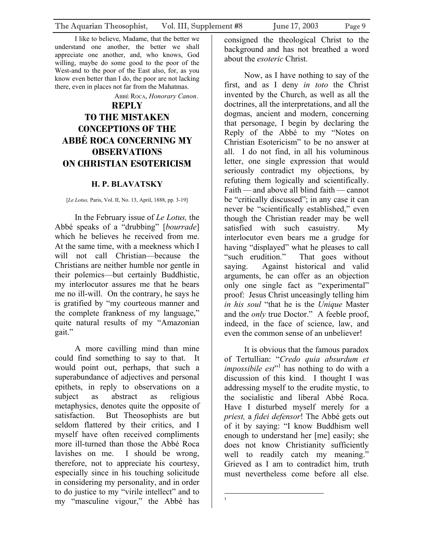<span id="page-8-0"></span>I like to believe, Madame, that the better we understand one another, the better we shall appreciate one another, and, who knows, God willing, maybe do some good to the poor of the West-and to the poor of the East also, for, as you know even better than I do, the poor are not lacking there, even in places not far from the Mahatmas.

ABBÉ ROCA, *Honorary Canon*.

# **REPLY TO THE MISTAKEN CONCEPTIONS OF THE ABBÉ ROCA CONCERNING MY OBSERVATIONS ON CHRISTIAN ESOTERICISM**

#### **H. P. BLAVATSKY**

[*Le Lotus,* Paris, Vol. II, No. 13, April, 1888, pp. 3-19]

In the February issue of *Le Lotus,* the Abbé speaks of a "drubbing" [*bourrade*] which he believes he received from me. At the same time, with a meekness which I will not call Christian—because the Christians are neither humble nor gentle in their polemics—but certainly Buddhistic, my interlocutor assures me that he bears me no ill-will. On the contrary, he says he is gratified by "my courteous manner and the complete frankness of my language," quite natural results of my "Amazonian gait."

A more cavilling mind than mine could find something to say to that. It would point out, perhaps, that such a superabundance of adjectives and personal epithets, in reply to observations on a subject as abstract as religious metaphysics, denotes quite the opposite of satisfaction. But Theosophists are but seldom flattered by their critics, and I myself have often received compliments more ill-turned than those the Abbé Roca lavishes on me. I should be wrong, therefore, not to appreciate his courtesy, especially since in his touching solicitude in considering my personality, and in order to do justice to my "virile intellect" and to my "masculine vigour," the Abbé has

consigned the theological Christ to the background and has not breathed a word about the *esoteric* Christ.

Now, as I have nothing to say of the first, and as I deny *in toto* the Christ invented by the Church, as well as all the doctrines, all the interpretations, and all the dogmas, ancient and modern, concerning that personage, I begin by declaring the Reply of the Abbé to my "Notes on Christian Esotericism" to be no answer at all. I do not find, in all his voluminous letter, one single expression that would seriously contradict my objections, by refuting them logically and scientifically. Faith — and above all blind faith — cannot be "critically discussed"; in any case it can never be "scientifically established," even though the Christian reader may be well satisfied with such casuistry. My interlocutor even bears me a grudge for having "displayed" what he pleases to call "such erudition." That goes without saying. Against historical and valid arguments, he can offer as an objection only one single fact as "experimental" proof: Jesus Christ unceasingly telling him *in his soul* "that he is the *Unique* Master and the *only* true Doctor." A feeble proof, indeed, in the face of science, law, and even the common sense of an unbeliever!

It is obvious that the famous paradox of Tertullian: "*Credo quia absurdum et impossibile est*<sup>"</sup> has nothing to do with a discussion of this kind. I thought I was addressing myself to the erudite mystic, to the socialistic and liberal Abbé Roca. Have I disturbed myself merely for a *priest,* a *fidei defensor*! The Abbé gets out of it by saying: "I know Buddhism well enough to understand her [me] easily; she does not know Christianity sufficiently well to readily catch my meaning." Grieved as I am to contradict him, truth must nevertheless come before all else.

<span id="page-8-1"></span> $\frac{1}{1}$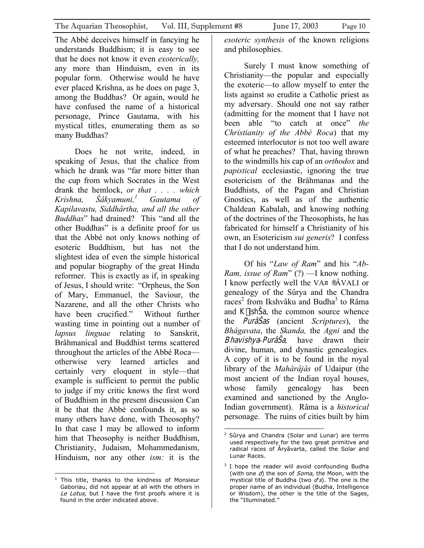The Abbé deceives himself in fancying he understands Buddhism; it is easy to see that he does not know it even *exoterically,*  any more than Hinduism, even in its popular form. Otherwise would he have ever placed Krishna, as he does on page 3, among the Buddhas? Or again, would he have confused the name of a historical personage, Prince Gautama, with his mystical titles, enumerating them as so many Buddhas?

Does he not write, indeed, in speaking of Jesus, that the chalice from which he drank was "far more bitter than the cup from which Socrates in the West drank the hemlock, *or that . . . . which Krishna, Śâkyamuni[,1](#page-9-0) Gautama of Kapilavastu, Siddhârtha, and all the other Buddhas*" had drained? This "and all the other Buddhas" is a definite proof for us that the Abbé not only knows nothing of esoteric Buddhism, but has not the slightest idea of even the simple historical and popular biography of the great Hindu reformer. This is exactly as if, in speaking of Jesus, I should write: "Orpheus, the Son of Mary, Emmanuel, the Saviour, the Nazarene, and all the other Christs who have been crucified." Without further wasting time in pointing out a number of *lapsus linguae* relating to Sanskrit, Brâhmanical and Buddhist terms scattered throughout the articles of the Abbé Roca otherwise very learned articles and certainly very eloquent in style—that example is sufficient to permit the public to judge if my critic knows the first word of Buddhism in the present discussion Can it be that the Abbé confounds it, as so many others have done, with Theosophy? In that case I may be allowed to inform him that Theosophy is neither Buddhism, Christianity, Judaism, Mohammedanism, Hinduism, nor any other *ism:* it is the

<span id="page-9-0"></span> 1 This title, thanks to the kindness of Monsieur Gaboriau, did not appear at all with the others in Le Lotus, but I have the first proofs where it is found in the order indicated above.

*esoteric synthesis* of the known religions and philosophies.

Surely I must know something of Christianity—the popular and especially the exoteric—to allow myself to enter the lists against so erudite a Catholic priest as my adversary. Should one not say rather (admitting for the moment that I have not been able "to catch at once" *the Christianity of the Abbé Roca*) that my esteemed interlocutor is not too well aware of what he preaches? That, having thrown to the windmills his cap of an *orthodox* and *papistical* ecclesiastic, ignoring the true esotericism of the Brâhmanas and the Buddhists, of the Pagan and Christian Gnostics, as well as of the authentic Chaldean Kabalah, and knowing nothing of the doctrines of the Theosophists, he has fabricated for himself a Christianity of his own, an Esotericism *sui generis*? I confess that I do not understand him.

*Bhavishya-PurâŠa*, have drawn their Of his "*Law of Ram*" and his "*Ab-Ram, issue of Ram*" (?) —I know nothing. I know perfectly well the VA¤®ÂVALI or genealogy of the Sûrya and the Chandra races<sup>[2](#page-9-1)</sup> from Ikshvâku and Budha<sup>[3](#page-9-2)</sup> to Râma and K ishŠa, the common source whence the PurâŠas (ancient *Scriptures*), the *Bhâgavata*, the *Skanda,* the *Agni* and the divine, human, and dynastic genealogies. A copy of it is to be found in the royal library of the *Mahârâjâs* of Udaipur (the most ancient of the Indian royal houses, whose family genealogy has been examined and sanctioned by the Anglo-Indian government). Râma is a *historical*  personage. The ruins of cities built by him

<span id="page-9-1"></span><sup>&</sup>lt;u>.</u> <sup>2</sup> Sûrya and Chandra (Solar and Lunar) are terms used respectively for the two great primitive and radical races of Âryâvarta, called the Solar and Lunar Races.

<span id="page-9-2"></span> $3$  I hope the reader will avoid confounding Budha (with one  $d$ ) the son of *Soma*, the Moon, with the mystical title of Buddha (two  $d's$ ). The one is the proper name of an individual (Budha, Intelligence or Wisdom), the other is the title of the Sages, the "Illuminated."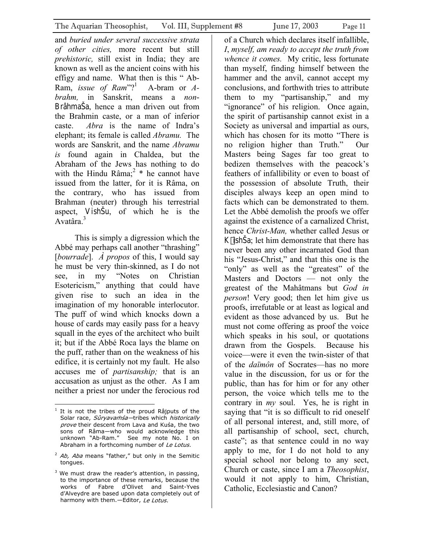and *buried under several successive strata of other cities,* more recent but still *prehistoric,* still exist in India; they are known as well as the ancient coins with his effigy and name. What then is this " Ab-Ram, *issue of Ram*"?[1](#page-10-0) A-bram or *Abrahm,* in Sanskrit, means a *non*-BrâhmaŠa, hence a man driven out from the Brahmin caste, or a man of inferior caste. *Abra* is the name of Indra's elephant; its female is called *Abramu.* The words are Sanskrit, and the name *Abramu is* found again in Chaldea, but the Abraham of the Jews has nothing to do with the Hindu Râma;<sup>[2](#page-10-1)</sup>  $*$  he cannot have issued from the latter, for it is Râma, on the contrary, who has issued from Brahman (neuter) through his terrestrial aspect, VishŠu, of which he is the Avatâra.<sup>3</sup>

This is simply a digression which the Abbé may perhaps call another "thrashing" [*bourrade*]. *À propos* of this, I would say he must be very thin-skinned, as I do not see, in my "Notes on Christian Esotericism," anything that could have given rise to such an idea in the imagination of my honorable interlocutor. The puff of wind which knocks down a house of cards may easily pass for a heavy squall in the eyes of the architect who built it; but if the Abbé Roca lays the blame on the puff, rather than on the weakness of his edifice, it is certainly not my fault. He also accuses me of *partisanship;* that is an accusation as unjust as the other. As I am neither a priest nor under the ferocious rod

of a Church which declares itself infallible, *I*, *myself, am ready to accept the truth from whence it comes.* My critic, less fortunate than myself, finding himself between the hammer and the anvil, cannot accept my conclusions, and forthwith tries to attribute them to my "partisanship," and my "ignorance" of his religion. Once again, the spirit of partisanship cannot exist in a Society as universal and impartial as ours, which has chosen for its motto "There is no religion higher than Truth." Our Masters being Sages far too great to bedizen themselves with the peacock's feathers of infallibility or even to boast of the possession of absolute Truth, their disciples always keep an open mind to facts which can be demonstrated to them. Let the Abbé demolish the proofs we offer against the existence of a carnalized Christ, hence *Christ-Man,* whether called Jesus or K ishŠa; let him demonstrate that there has never been any other incarnated God than his "Jesus-Christ," and that this one is the "only" as well as the "greatest" of the Masters and Doctors — not only the greatest of the Mahâtmans but *God in person*! Very good; then let him give us proofs, irrefutable or at least as logical and evident as those advanced by us. But he must not come offering as proof the voice which speaks in his soul, or quotations drawn from the Gospels. Because his voice—were it even the twin-sister of that of the *daïmôn* of Socrates—has no more value in the discussion, for us or for the public, than has for him or for any other person, the voice which tells me to the contrary in *my* soul. Yes, he is right in saying that "it is so difficult to rid oneself of all personal interest, and, still more, of all partisanship of school, sect, church, caste"; as that sentence could in no way apply to me, for I do not hold to any special school nor belong to any sect, Church or caste, since I am a *Theosophist*, would it not apply to him, Christian, Catholic, Ecclesiastic and Canon?

<span id="page-10-0"></span> $\overline{a}$ Solar race, *Sûryavaṁśa—*tribes which *historically*  $1$  It is not the tribes of the proud Râjputs of the prove their descent from Lava and Kuśa, the two sons of Râma—who would acknowledge this<br>unknown "Ab-Ram." See my note No. I on See my note No. I on Abraham in a forthcoming number of Le Lotus.

<span id="page-10-1"></span> $2$  Ab, Aba means "father," but only in the Semitic tongues.

<span id="page-10-2"></span><sup>&</sup>lt;sup>3</sup> We must draw the reader's attention, in passing, to the importance of these remarks, because the works of Fabre d'Olivet and Saint-Yves d'Alveydre are based upon data completely out of harmony with them.-Editor, Le Lotus.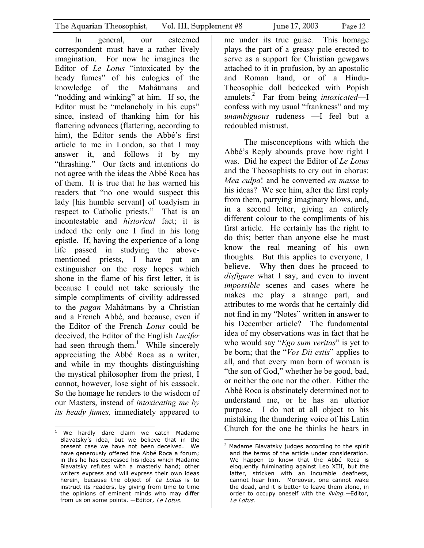In general, our esteemed correspondent must have a rather lively imagination. For now he imagines the Editor of *Le Lotus* "intoxicated by the heady fumes" of his eulogies of the knowledge of the Mahâtmans and "nodding and winking" at him. If so, the Editor must be "melancholy in his cups" since, instead of thanking him for his flattering advances (flattering, according to him), the Editor sends the Abbé's first article to me in London, so that I may answer it, and follows it by my "thrashing." Our facts and intentions do not agree with the ideas the Abbé Roca has of them. It is true that he has warned his readers that "no one would suspect this lady [his humble servant] of toadyism in respect to Catholic priests." That is an incontestable and *historical* fact; it is indeed the only one I find in his long epistle. If, having the experience of a long life passed in studying the abovementioned priests, I have put an extinguisher on the rosy hopes which shone in the flame of his first letter, it is because I could not take seriously the simple compliments of civility addressed to the *pagan* Mahâtmans by a Christian and a French Abbé, and because, even if the Editor of the French *Lotus* could be deceived, the Editor of the English *Lucifer*  had seen through them.<sup>[1](#page-11-0)</sup> While sincerely appreciating the Abbé Roca as a writer, and while in my thoughts distinguishing the mystical philosopher from the priest, I cannot, however, lose sight of his cassock. So the homage he renders to the wisdom of our Masters, instead of *intoxicating me by its heady fumes,* immediately appeared to

me under its true guise. This homage plays the part of a greasy pole erected to serve as a support for Christian gewgaws attached to it in profusion, by an apostolic and Roman hand, or of a Hindu-Theosophic doll bedecked with Popish amulets[.2](#page-11-1) Far from being *intoxicated*—I confess with my usual "frankness" and my *unambiguous* rudeness —I feel but a redoubled mistrust.

The misconceptions with which the Abbé's Reply abounds prove how right I was. Did he expect the Editor of *Le Lotus*  and the Theosophists to cry out in chorus: *Mea culpa*! and be converted *en masse* to his ideas? We see him, after the first reply from them, parrying imaginary blows, and, in a second letter, giving an entirely different colour to the compliments of his first article. He certainly has the right to do this; better than anyone else he must know the real meaning of his own thoughts. But this applies to everyone, I believe. Why then does he proceed to *disfigure* what I say, and even to invent *impossible* scenes and cases where he makes me play a strange part, and attributes to me words that he certainly did not find in my "Notes" written in answer to his December article? The fundamental idea of my observations was in fact that he who would say "*Ego sum veritas*" is yet to be born; that the "*Vos Dii estis*" applies to all, and that every man born of woman is "the son of God," whether he be good, bad, or neither the one nor the other. Either the Abbé Roca is obstinately determined not to understand me, or he has an ulterior purpose. I do not at all object to his mistaking the thundering voice of his Latin Church for the one he thinks he hears in

<span id="page-11-0"></span> $\overline{a}$ <sup>1</sup> We hardly dare claim we catch Madame Blavatsky's idea, but we believe that in the present case we have not been deceived. We have generously offered the Abbé Roca a forum; in this he has expressed his ideas which Madame Blavatsky refutes with a masterly hand; other writers express and will express their own ideas herein, because the object of Le Lotus is to instruct its readers, by giving from time to time the opinions of eminent minds who may differ from us on some points. - Editor, Le Lotus.

<span id="page-11-1"></span> 2 Madame Blavatsky judges according to the spirit and the terms of the article under consideration. We happen to know that the Abbé Roca is eloquently fulminating against Leo XIII, but the latter, stricken with an incurable deafness, cannot hear him. Moreover, one cannot wake the dead, and it is better to leave them alone, in order to occupy oneself with the living.-Editor, Le Lotus.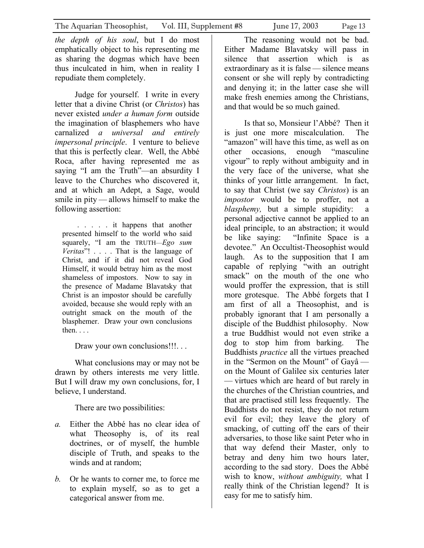*the depth of his soul*, but I do most emphatically object to his representing me as sharing the dogmas which have been thus inculcated in him, when in reality I repudiate them completely.

Judge for yourself. I write in every letter that a divine Christ (or *Christos*) has never existed *under a human form* outside the imagination of blasphemers who have carnalized *a universal and entirely impersonal principle*. I venture to believe that this is perfectly clear. Well, the Abbé Roca, after having represented me as saying "I am the Truth"—an absurdity I leave to the Churches who discovered it, and at which an Adept, a Sage, would smile in pity — allows himself to make the following assertion:

. . . . . it happens that another presented himself to the world who said squarely, "I am the TRUTH––*Ego sum Veritas*"! . . . . That is the language of Christ, and if it did not reveal God Himself, it would betray him as the most shameless of impostors. Now to say in the presence of Madame Blavatsky that Christ is an impostor should be carefully avoided, because she would reply with an outright smack on the mouth of the blasphemer. Draw your own conclusions then. . . .

Draw your own conclusions!!!...

What conclusions may or may not be drawn by others interests me very little. But I will draw my own conclusions, for, I believe, I understand.

There are two possibilities:

- *a.* Either the Abbé has no clear idea of what Theosophy is, of its real doctrines, or of myself, the humble disciple of Truth, and speaks to the winds and at random;
- *b.* Or he wants to corner me, to force me to explain myself, so as to get a categorical answer from me.

The reasoning would not be bad. Either Madame Blavatsky will pass in silence that assertion which is as extraordinary as it is false — silence means consent or she will reply by contradicting and denying it; in the latter case she will make fresh enemies among the Christians, and that would be so much gained.

Is that so, Monsieur l'Abbé? Then it is just one more miscalculation. The "amazon" will have this time, as well as on other occasions, enough "masculine vigour" to reply without ambiguity and in the very face of the universe, what she thinks of your little arrangement. In fact, to say that Christ (we say *Christos*) is an *impostor* would be to proffer, not a *blasphemy,* but a simple stupidity: a personal adjective cannot be applied to an ideal principle, to an abstraction; it would be like saying: "Infinite Space is a devotee." An Occultist-Theosophist would laugh. As to the supposition that I am capable of replying "with an outright smack" on the mouth of the one who would proffer the expression, that is still more grotesque. The Abbé forgets that I am first of all a Theosophist, and is probably ignorant that I am personally a disciple of the Buddhist philosophy. Now a true Buddhist would not even strike a dog to stop him from barking. The Buddhists *practice* all the virtues preached in the "Sermon on the Mount" of Gayâ on the Mount of Galilee six centuries later — virtues which are heard of but rarely in the churches of the Christian countries, and that are practised still less frequently. The Buddhists do not resist, they do not return evil for evil; they leave the glory of smacking, of cutting off the ears of their adversaries, to those like saint Peter who in that way defend their Master, only to betray and deny him two hours later, according to the sad story. Does the Abbé wish to know, *without ambiguity,* what I really think of the Christian legend? It is easy for me to satisfy him.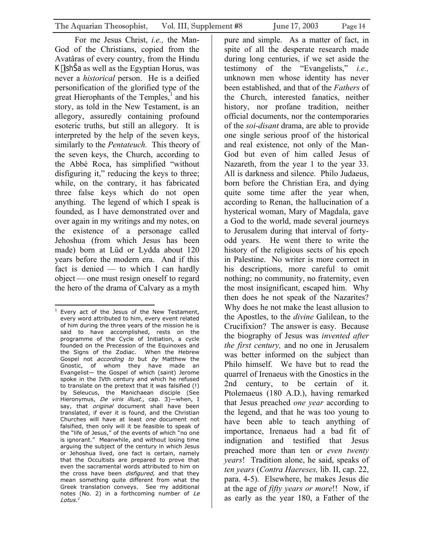For me Jesus Christ, *i.e.,* the Man-God of the Christians, copied from the Avatâras of every country, from the Hindu K ishŠa as well as the Egyptian Horus, was never a *historical* person. He is a deified personification of the glorified type of the great Hierophants of the Temples, $\frac{1}{1}$  $\frac{1}{1}$  $\frac{1}{1}$  and his story, as told in the New Testament, is an allegory, assuredly containing profound esoteric truths, but still an allegory. It is interpreted by the help of the seven keys, similarly to the *Pentateuch.* This theory of the seven keys, the Church, according to the Abbé Roca, has simplified "without disfiguring it," reducing the keys to three; while, on the contrary, it has fabricated three false keys which do not open anything. The legend of which I speak is founded, as I have demonstrated over and over again in my writings and my notes, on the existence of a personage called Jehoshua (from which Jesus has been made) born at Lüd or Lydda about 120 years before the modern era. And if this fact is denied — to which I can hardly object — one must resign oneself to regard the hero of the drama of Calvary as a myth

pure and simple. As a matter of fact, in spite of all the desperate research made during long centuries, if we set aside the testimony of the "Evangelists," *i.e.,*  unknown men whose identity has never been established, and that of the *Fathers* of the Church, interested fanatics, neither history, nor profane tradition, neither official documents, nor the contemporaries of the *soi-disant* drama, are able to provide one single serious proof of the historical and real existence, not only of the Man-God but even of him called Jesus of Nazareth, from the year 1 to the year 33. All is darkness and silence. Philo Judaeus, born before the Christian Era, and dying quite some time after the year when, according to Renan, the hallucination of a hysterical woman, Mary of Magdala, gave a God to the world, made several journeys to Jerusalem during that interval of fortyodd years. He went there to write the history of the religious sects of his epoch in Palestine. No writer is more correct in his descriptions, more careful to omit nothing; no community, no fraternity, even the most insignificant, escaped him. Why then does he not speak of the Nazarites? Why does he not make the least allusion to the Apostles, to the *divine* Galilean, to the Crucifixion? The answer is easy. Because the biography of Jesus was *invented after the first century,* and no one in Jerusalem was better informed on the subject than Philo himself. We have but to read the quarrel of Irenaeus with the Gnostics in the 2nd century, to be certain of it. Ptolemaeus (180 A.D.), having remarked that Jesus preached *one year* according to the legend, and that he was too young to have been able to teach anything of importance, Irenaeus had a bad fit of indignation and testified that Jesus preached more than ten or *even twenty years*! Tradition alone, he said, speaks of *ten years* (*Contra Haereses,* lib. II, cap. 22, para. 4-5). Elsewhere, he makes Jesus die at the age of *fifty years or more*!! Now, if as early as the year 180, a Father of the

<span id="page-13-0"></span> 1 Every act of the Jesus of the New Testament, *une masur,*<br>/ document the cross have been *disfigured*, and that they every word attributed to him, every event related of him during the three years of the mission he is said to have accomplished, rests on the programme of the Cycle of Initiation, a cycle founded on the Precession of the Equinoxes and the Signs of the Zodiac. When the Hebrew Gospel not *according to* but by Matthew the Gnostic, of whom they have made an Evangelist— the Gospel of which (saint) Jerome spoke in the IVth century and which he refused to translate on the pretext that it was falsified (!) by Seleucus, the Manichaean disciple (See Hieronymus, *De viris illust.,* cap. 3)—when, I say, that *original* document shall have been translated, if ever it is found, and the Christian Churches will have at least one document not falsified, then only will it be feasible to speak of the "life of Jesus," of the events of which "no one is ignorant." Meanwhile, and without losing time arguing the subject of the century in which Jesus or Jehoshua lived, one fact is certain, namely that the Occultists are prepared to prove that even the sacramental words attributed to him on mean something quite different from what the Greek translation conveys. See my additional notes (No. 2) in a forthcoming number of Le Lotus.<sup>1</sup>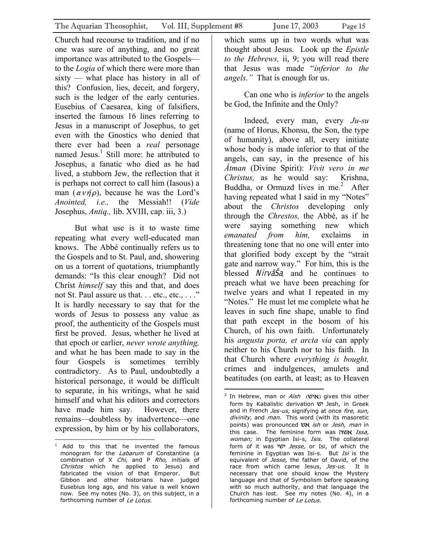Church had recourse to tradition, and if no one was sure of anything, and no great importance was attributed to the Gospels to the *Logia* of which there were more than sixty — what place has history in all of this? Confusion, lies, deceit, and forgery, such is the ledger of the early centuries. Eusebius of Caesarea, king of falsifiers, inserted the famous 16 lines referring to Jesus in a manuscript of Josephus, to get even with the Gnostics who denied that there ever had been a *real* personage named Jesus.<sup>1</sup> Still more: he attributed to Josephus, a fanatic who died as he had lived, a stubborn Jew, the reflection that it is perhaps not correct to call him (Iasous) a man  $(\alpha v \eta \rho)$ , because he was the Lord's *Anointed, i.e.,* the Messiah!! (*Vide* Josephus, *Antiq.,* lib. XVIII, cap. iii, 3.)

But what use is it to waste time repeating what every well-educated man knows. The Abbé continually refers us to the Gospels and to St. Paul, and, showering on us a torrent of quotations, triumphantly demands: "Is this clear enough? Did not Christ *himself* say this and that, and does not St. Paul assure us that. . . etc., etc., . . ." It is hardly necessary to say that for the words of Jesus to possess any value as proof, the authenticity of the Gospels must first be proved. Jesus, whether he lived at that epoch or earlier, *never wrote anything,*  and what he has been made to say in the four Gospels is sometimes terribly contradictory. As to Paul, undoubtedly a historical personage, it would be difficult to separate, in his writings, what he said himself and what his editors and correctors have made him say. However, there remains—doubtless by inadvertence—one expression, by him or by his collaborators,

which sums up in two words what was thought about Jesus. Look up the *Epistle to the Hebrews,* ii, 9; you will read there that Jesus was made "*inferior to the angels."* That is enough for us.

Can one who is *inferior* to the angels be God, the Infinite and the Only?

Indeed, every man, every *Ju-su* (name of Horus, Khonsu, the Son, the type of humanity), above all, every initiate whose body is made inferior to that of the angels, can say, in the presence of his *Âtman* (Divine Spirit): *Vivit vero in me Christus,* as he would say: Krishna, Buddha, or Ormuzd lives in me.<sup>[2](#page-14-1)</sup> After having repeated what I said in my "Notes" about the *Christos* developing only through the *Chrestos,* the Abbé, as if he were saying something new which *emanated from him,* exclaims in threatening tone that no one will enter into that glorified body except by the "strait gate and narrow way." For him, this is the blessed NirvâŠa*,* and he continues to preach what we have been preaching for twelve years and what I repeated in my "Notes." He must let me complete what he leaves in such fine shape, unable to find that path except in the bosom of his Church, of his own faith. Unfortunately his *angusta porta, et arcta via* can apply neither to his Church nor to his faith. In that Church where *everything is bought,*  crimes and indulgences, amulets and beatitudes (on earth, at least; as to Heaven

<span id="page-14-0"></span> $\overline{a}$ combination of X Chi, and P Rho, initials of <sup>1</sup> Add to this that he invented the famous monogram for the *Labarum* of Constantine (a Christos which he applied to Jesus) and fabricated the vision of that Emperor. But Gibbon and other historians have judged Eusebius long ago, and his value is well known now. See my notes (No. 3), on this subject, in a forthcoming number of Le Lotus.

<span id="page-14-1"></span> $\overline{a}$ divinity, and man. This word (with its masoretic this case. The feminine form was **אשה** Issa, woman; in Egyptian Isi-s, Isis. The collateral equivalent of *Jesse,* the father of David, of the race from which came Jesus, Jes-us. It is <sup>2</sup> In Hebrew, man or Aish (איש) gives this other form by Kabalistic derivation *יש* Jesh, in Greek and in French Jes-us, signifying at once fire, sun, points) was pronounced  $vx$  ish or Jesh, man in form of it was ישי Jesse, or Isi, of which the feminine in Egyptian was Isi-s. But Isi is the necessary that one should know the Mystery language and that of Symbolism before speaking with so much authority, and that language the Church has lost. See my notes (No. 4), in a forthcoming number of Le Lotus.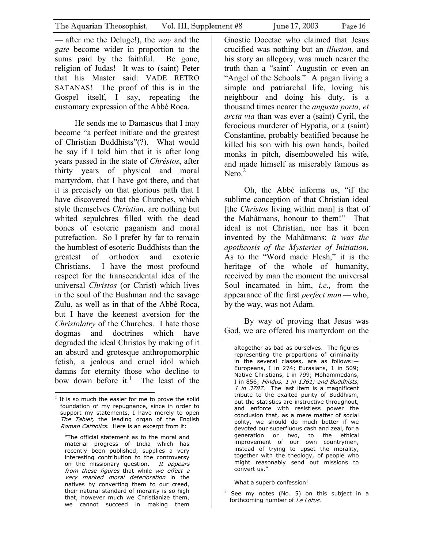— after me the Deluge!), the *way* and the *gate* become wider in proportion to the sums paid by the faithful. Be gone, religion of Judas! It was to (saint) Peter that his Master said: VADE RETRO SATANAS! The proof of this is in the Gospel itself, I say, repeating the customary expression of the Abbé Roca.

He sends me to Damascus that I may become "a perfect initiate and the greatest of Christian Buddhists"(?). What would he say if I told him that it is after long years passed in the state of *Chrêstos*, after thirty years of physical and moral martyrdom, that I have got there, and that it is precisely on that glorious path that I have discovered that the Churches, which style themselves *Christian,* are nothing but whited sepulchres filled with the dead bones of esoteric paganism and moral putrefaction. So I prefer by far to remain the humblest of esoteric Buddhists than the greatest of orthodox and exoteric Christians. I have the most profound respect for the transcendental idea of the universal *Christos* (or Christ) which lives in the soul of the Bushman and the savage Zulu, as well as in that of the Abbé Roca, but I have the keenest aversion for the *Christolatry* of the Churches. I hate those dogmas and doctrines which have degraded the ideal Christos by making of it an absurd and grotesque anthropomorphic fetish, a jealous and cruel idol which damns for eternity those who decline to bow down before it.<sup>1</sup> The least of the

very marked moral deterioration in the "The official statement as to the moral and material progress of India which has recently been published, supplies a very interesting contribution to the controversy on the missionary question. It appears from these figures that while we effect a natives by converting them to our creed, their natural standard of morality is so high that, however much we Christianize them, we cannot succeed in making them

Gnostic Docetae who claimed that Jesus crucified was nothing but an *illusion,* and his story an allegory, was much nearer the truth than a "saint" Augustin or even an "Angel of the Schools." A pagan living a simple and patriarchal life, loving his neighbour and doing his duty, is a thousand times nearer the *angusta porta, et arcta via* than was ever a (saint) Cyril, the ferocious murderer of Hypatia, or a (saint) Constantine, probably beatified because he killed his son with his own hands, boiled monks in pitch, disemboweled his wife, and made himself as miserably famous as Nero. $<sup>2</sup>$ </sup>

Oh, the Abbé informs us, "if the sublime conception of that Christian ideal [the *Christos* living within man] is that of the Mahâtmans, honour to them!" That ideal is not Christian, nor has it been invented by the Mahâtmans; *it was the apotheosis of the Mysteries of Initiation.*  As to the "Word made Flesh," it is the heritage of the whole of humanity, received by man the moment the universal Soul incarnated in him, *i.e.,* from the appearance of the first *perfect man —* who, by the way, was not Adam.

By way of proving that Jesus was God, we are offered his martyrdom on the

I in 856; Hindus, 1 in 1361; and Buddhists, altogether as bad as ourselves. The figures representing the proportions of criminality in the several classes, are as follows:— Europeans, I in 274; Eurasians, 1 in 509; Native Christians, I in 799; Mohammedans, 1 in 3787. The last item is a magnificent tribute to the exalted purity of Buddhism, but the statistics are instructive throughout, and enforce with resistless power the conclusion that, as a mere matter of social polity, we should do much better if we devoted our superfluous cash and zeal, for a generation or two, to the ethical improvement of our own countrymen, instead of trying to upset the morality, together with the theology, of people who might reasonably send out missions to convert us."

What a superb confession!

 $\overline{a}$ 

<span id="page-15-1"></span> $2$  See my notes (No. 5) on this subject in a forthcoming number of Le Lotus.

<span id="page-15-0"></span> $\overline{a}$  $1$  It is so much the easier for me to prove the solid foundation of my repugnance, since in order to support my statements, I have merely to open The Tablet, the leading organ of the English Roman Catholics. Here is an excerpt from it: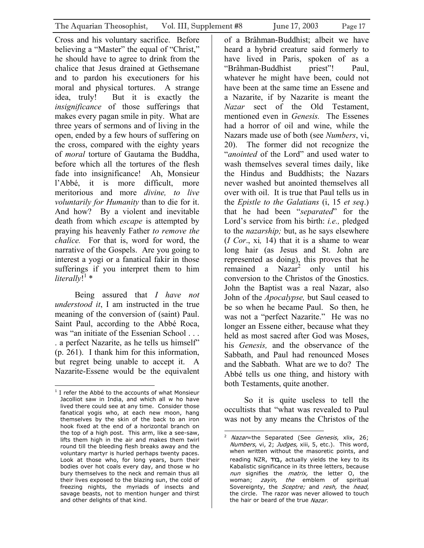Cross and his voluntary sacrifice. Before believing a "Master" the equal of "Christ," he should have to agree to drink from the chalice that Jesus drained at Gethsemane and to pardon his executioners for his moral and physical tortures. A strange idea, truly! But it is exactly the *insignificance* of those sufferings that makes every pagan smile in pity. What are three years of sermons and of living in the open, ended by a few hours of suffering on the cross, compared with the eighty years of *moral* torture of Gautama the Buddha, before which all the tortures of the flesh fade into insignificance! Ah, Monsieur l'Abbé, it is more difficult, more meritorious and more *divine, to live voluntarily for Humanity* than to die for it. And how? By a violent and inevitable death from which *escape* is attempted by praying his heavenly Father *to remove the chalice.* For that is, word for word, the narrative of the Gospels. Are you going to interest a yogi or a fanatical fakir in those sufferings if you interpret them to him literally!<sup>[1](#page-16-0)</sup> \*

Being assured that *I have not understood it*, I am instructed in the true meaning of the conversion of (saint) Paul. Saint Paul, according to the Abbé Roca, was "an initiate of the Essenian School . . . . a perfect Nazarite, as he tells us himself" (p. 261). I thank him for this information, but regret being unable to accept it. A Nazarite-Essene would be the equivalent

of a Brâhman-Buddhist; albeit we have heard a hybrid creature said formerly to have lived in Paris, spoken of as a "Brâhman-Buddhist priest"! Paul, whatever he might have been, could not have been at the same time an Essene and a Nazarite, if by Nazarite is meant the *Nazar* sect of the Old Testament, mentioned even in *Genesis.* The Essenes had a horror of oil and wine, while the Nazars made use of both (see *Numbers*, vi, 20). The former did not recognize the "*anointed* of the Lord" and used water to wash themselves several times daily, like the Hindus and Buddhists; the Nazars never washed but anointed themselves all over with oil. It is true that Paul tells us in the *Epistle to the Galatians* (i, 15 *et seq*.) that he had been "*separated*" for the Lord's service from his birth: *i.e.,* pledged to the *nazarship;* but, as he says elsewhere (*I Cor*., xi*,* 14) that it is a shame to wear long hair (as Jesus and St. John are represented as doing), this proves that he remained a Nazar<sup>[2](#page-16-1)</sup> only until his conversion to the Christos of the Gnostics. John the Baptist was a real Nazar, also John of the *Apocalypse,* but Saul ceased to be so when he became Paul. So then, he was not a "perfect Nazarite." He was no longer an Essene either, because what they held as most sacred after God was Moses, his *Genesis,* and the observance of the Sabbath, and Paul had renounced Moses and the Sabbath. What are we to do? The Abbé tells us one thing, and history with both Testaments, quite another.

So it is quite useless to tell the occultists that "what was revealed to Paul was not by any means the Christos of the

<span id="page-16-0"></span> $\overline{a}$ <sup>1</sup> I refer the Abbé to the accounts of what Monsieur Jacolliot saw in India, and which all w ho have lived there could see at any time. Consider those fanatical yogis who, at each new moon, hang themselves by the skin of the back to an iron hook fixed at the end of a horizontal branch on the top of a high post. This arm, like a see-saw, lifts them high in the air and makes them twirl round till the bleeding flesh breaks away and the voluntary martyr is hurled perhaps twenty paces. Look at those who, for long years, burn their bodies over hot coals every day, and those w ho bury themselves to the neck and remain thus all their lives exposed to the blazing sun, the cold of freezing nights, the myriads of insects and savage beasts, not to mention hunger and thirst and other delights of that kind.

<span id="page-16-1"></span> $\overline{a}$ <sup>2</sup> Nazar=the Separated (See *Genesis*, xlix, 26; Numbers, vi, 2; Judges, xiii, 5, etc.). This word, when written without the masoretic points, and reading NZR,  $\pi$ בוד, actually yields the key to its Kabalistic significance in its three letters, because nun signifies the matrix, the letter O, the woman; zayin, the emblem of spiritual Sovereignty, the *Sceptre;* and resh, the head, the circle. The razor was never allowed to touch the hair or beard of the true Nazar.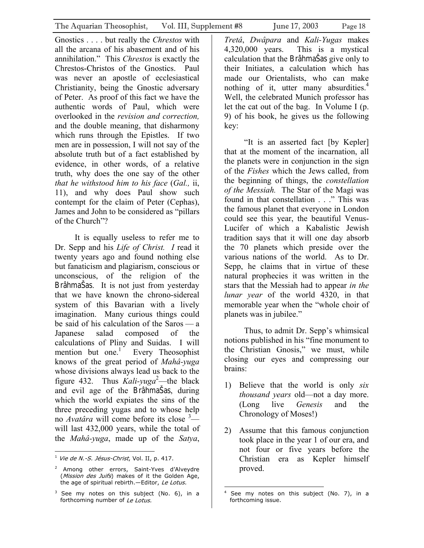Gnostics . . . . but really the *Chrestos* with all the arcana of his abasement and of his annihilation." This *Chrestos* is exactly the Chrestos-Christos of the Gnostics. Paul was never an apostle of ecclesiastical Christianity, being the Gnostic adversary of Peter. As proof of this fact we have the authentic words of Paul, which were overlooked in the *revision and correction,*  and the double meaning, that disharmony which runs through the Epistles. If two men are in possession, I will not say of the absolute truth but of a fact established by evidence, in other words, of a relative truth, why does the one say of the other *that he withstood him to his face* (*Gal.,* ii, 11), and why does Paul show such contempt for the claim of Peter (Cephas), James and John to be considered as "pillars of the Church"?

It is equally useless to refer me to Dr. Sepp and his *Life of Christ. I* read it twenty years ago and found nothing else but fanaticism and plagiarism, conscious or unconscious, of the religion of the BrâhmaŠas. It is not just from yesterday that we have known the chrono-sidereal system of this Bavarian with a lively imagination. Many curious things could be said of his calculation of the Saros — a Japanese salad composed of the calculations of Pliny and Suidas. I will mention but one. $<sup>1</sup>$ </sup> Every Theosophist knows of the great period of *Mahâ-yuga* whose divisions always lead us back to the figure 43[2](#page-17-1). Thus  $Kali$ -yuga<sup>2</sup>—the black and evil age of the BrâhmaŠas, during which the world expiates the sins of the three preceding yugas and to whose help no *Avatâra* will come before its close [3](#page-17-2) will last 432,000 years, while the total of the *Mahâ-yuga*, made up of the *Satya*,

*Tretâ*, *Dwâpara* and *Kali-Yugas* makes 4,320,000 years. This is a mystical calculation that the BrâhmaŠas give only to their Initiates, a calculation which has made our Orientalists, who can make nothing of it, utter many absurdities.<sup>[4](#page-17-3)</sup> Well, the celebrated Munich professor has let the cat out of the bag. In Volume I (p. 9) of his book, he gives us the following key:

"It is an asserted fact [by Kepler] that at the moment of the incarnation, all the planets were in conjunction in the sign of the *Fishes* which the Jews called, from the beginning of things, the *constellation of the Messiah.* The Star of the Magi was found in that constellation . . ." This was the famous planet that everyone in London could see this year, the beautiful Venus-Lucifer of which a Kabalistic Jewish tradition says that it will one day absorb the 70 planets which preside over the various nations of the world. As to Dr. Sepp, he claims that in virtue of these natural prophecies it was written in the stars that the Messiah had to appear *in the lunar year* of the world 4320, in that memorable year when the "whole choir of planets was in jubilee."

Thus, to admit Dr. Sepp's whimsical notions published in his "fine monument to the Christian Gnosis," we must, while closing our eyes and compressing our brains:

- 1) Believe that the world is only *six thousand years* old—not a day more. (Long live *Genesis* and the Chronology of Moses!)
- 2) Assume that this famous conjunction took place in the year 1 of our era, and not four or five years before the Christian era as Kepler himself proved.

<span id="page-17-0"></span> $\overline{a}$  $<sup>1</sup>$  Vie de N.-S. Jésus-Christ, Vol. II, p. 417.</sup>

<span id="page-17-1"></span><sup>&</sup>lt;sup>2</sup> Among other errors, Saint-Yves d'Alveydre (Mission des Juifs) makes of it the Golden Age, the age of spiritual rebirth.—Editor, Le Lotus.

<span id="page-17-2"></span> $3$  See my notes on this subject (No. 6), in a forthcoming number of Le Lotus.

<span id="page-17-3"></span> $\overline{a}$ 4 See my notes on this subject (No. 7), in a forthcoming issue.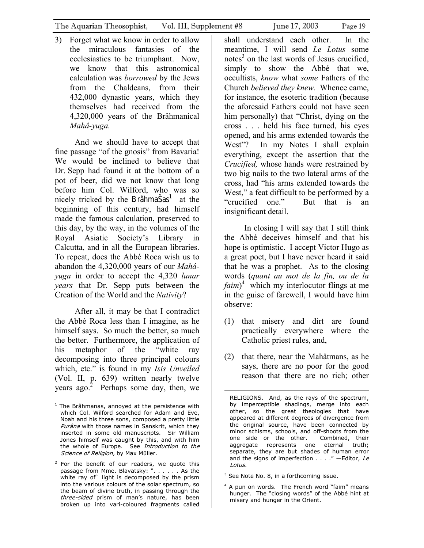3) Forget what we know in order to allow the miraculous fantasies of the ecclesiastics to be triumphant. Now, we know that this astronomical calculation was *borrowed* by the Jews from the Chaldeans, from their 432,000 dynastic years, which they themselves had received from the 4,320,000 years of the Brâhmanical *Mahâ-yuga.* 

And we should have to accept that fine passage "of the gnosis" from Bavaria! We would be inclined to believe that Dr. Sepp had found it at the bottom of a pot of beer, did we not know that long before him Col. Wilford, who was so nicely tricked by the BrâhmaŠas<sup>1</sup> at the beginning of this century, had himself made the famous calculation, preserved to this day, by the way, in the volumes of the Royal Asiatic Society's Library in Calcutta, and in all the European libraries. To repeat, does the Abbé Roca wish us to abandon the 4,320,000 years of our *Mahâyuga* in order to accept the 4,320 *lunar years* that Dr. Sepp puts between the Creation of the World and the *Nativity*?

After all, it may be that I contradict the Abbé Roca less than I imagine, as he himself says. So much the better, so much the better. Furthermore, the application of his metaphor of the "white ray decomposing into three principal colours which, etc." is found in my *Isis Unveiled*  (Vol. II, p. 639) written nearly twelve years ago. $2$  Perhaps some day, then, we shall understand each other. In the meantime, I will send *Le Lotus* some notes<sup>3</sup> on the last words of Jesus crucified, simply to show the Abbé that we, occultists, *know* what *some* Fathers of the Church *believed they knew.* Whence came, for instance, the esoteric tradition (because the aforesaid Fathers could not have seen him personally) that "Christ, dying on the cross . . . held his face turned, his eyes opened, and his arms extended towards the West"? In my Notes I shall explain everything, except the assertion that the *Crucified,* whose hands were restrained by two big nails to the two lateral arms of the cross, had "his arms extended towards the West," a feat difficult to be performed by a "crucified one." But that is an insignificant detail.

In closing I will say that I still think the Abbé deceives himself and that his hope is optimistic. I accept Victor Hugo as a great poet, but I have never heard it said that he was a prophet. As to the closing words (*quant au mot de la fin, ou de la faim*) [4](#page-18-3) which my interlocutor flings at me in the guise of farewell, I would have him observe:

- (1) that misery and dirt are found practically everywhere where the Catholic priest rules, and,
- (2) that there, near the Mahâtmans, as he says, there are no poor for the good reason that there are no rich; other

 $\overline{a}$ 

<span id="page-18-3"></span><sup>4</sup> A pun on words. The French word "faim" means hunger. The "closing words" of the Abbé hint at misery and hunger in the Orient.

<span id="page-18-0"></span> $\overline{a}$  $1$  The Brâhmanas, annoyed at the persistence with which Col. Wilford searched for Adam and Eve, Noah and his three sons, composed a pretty little Purâna with those names in Sanskrit, which they inserted in some old manuscripts. Sir William Jones himself was caught by this, and with him the whole of Europe. See Introduction to the Science of Religion, by Max Müller.

<span id="page-18-1"></span> $2$  For the benefit of our readers, we quote this passage from Mme. Blavatsky: ". . . . . . As the white ray of` light is decomposed by the prism into the various colours of the solar spectrum, so the beam of divine truth, in passing through the three-sided prism of man's nature, has been broken up into vari-coloured fragments called

RELIGIONS. And, as the rays of the spectrum, by imperceptible shadings, merge into each other, so the great theologies that have appeared at different degrees of divergence from the original source, have been connected by minor schisms, schools, and off-shoots from the one side or the other. Combined, their aggregate represents one eternal truth; separate, they are but shades of human error and the signs of imperfection  $\ldots$ ." -Editor, Le Lotus.

<span id="page-18-2"></span><sup>&</sup>lt;sup>3</sup> See Note No. 8, in a forthcoming issue.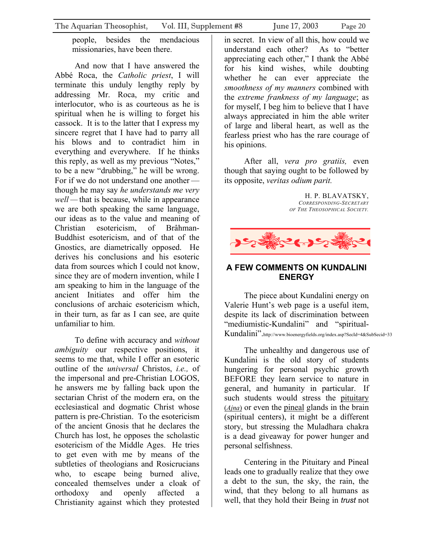<span id="page-19-0"></span>people, besides the mendacious missionaries, have been there.

And now that I have answered the Abbé Roca, the *Catholic priest*, I will terminate this unduly lengthy reply by addressing Mr. Roca, my critic and interlocutor, who is as courteous as he is spiritual when he is willing to forget his cassock. It is to the latter that I express my sincere regret that I have had to parry all his blows and to contradict him in everything and everywhere. If he thinks this reply, as well as my previous "Notes," to be a new "drubbing," he will be wrong. For if we do not understand one another though he may say *he understands me very well —* that is because, while in appearance we are both speaking the same language, our ideas as to the value and meaning of Christian esotericism, of Brâhman-Buddhist esotericism, and of that of the Gnostics, are diametrically opposed. He derives his conclusions and his esoteric data from sources which I could not know, since they are of modern invention, while I am speaking to him in the language of the ancient Initiates and offer him the conclusions of archaic esotericism which, in their turn, as far as I can see, are quite unfamiliar to him.

To define with accuracy and *without ambiguity* our respective positions, it seems to me that, while I offer an esoteric outline of the *universal* Christos, *i.e.,* of the impersonal and pre-Christian LOGOS, he answers me by falling back upon the sectarian Christ of the modern era, on the ecclesiastical and dogmatic Christ whose pattern is pre-Christian. To the esotericism of the ancient Gnosis that he declares the Church has lost, he opposes the scholastic esotericism of the Middle Ages. He tries to get even with me by means of the subtleties of theologians and Rosicrucians who, to escape being burned alive, concealed themselves under a cloak of orthodoxy and openly affected a Christianity against which they protested

in secret. In view of all this, how could we understand each other? As to "better appreciating each other," I thank the Abbé for his kind wishes, while doubting whether he can ever appreciate the *smoothness of my manners* combined with the *extreme frankness of my language*; as for myself, I beg him to believe that I have always appreciated in him the able writer of large and liberal heart, as well as the fearless priest who has the rare courage of

After all, *vera pro gratiis,* even though that saying ought to be followed by its opposite, *veritas odium parit.* 

his opinions.

H. P. BLAVATSKY, *CORRESPONDING-SECRETARY OF THE THEOSOPHICAL SOCIETY.* 



#### **A FEW COMMENTS ON KUNDALINI ENERGY**

The piece about Kundalini energy on Valerie Hunt's web page is a useful item, despite its lack of discrimination between "mediumistic-Kundalini" and "spiritual-Kundalini".http://www.bioenergyfields.org/index.asp?SecId=4&SubSecid=33

The unhealthy and dangerous use of Kundalini is the old story of students hungering for personal psychic growth BEFORE they learn service to nature in general, and humanity in particular. If such students would stress the pituitary (*Ajna*) or even the pineal glands in the brain (spiritual centers), it might be a different story, but stressing the Muladhara chakra is a dead giveaway for power hunger and personal selfishness.

Centering in the Pituitary and Pineal leads one to gradually realize that they owe a debt to the sun, the sky, the rain, the wind, that they belong to all humans as well, that they hold their Being in *trust* not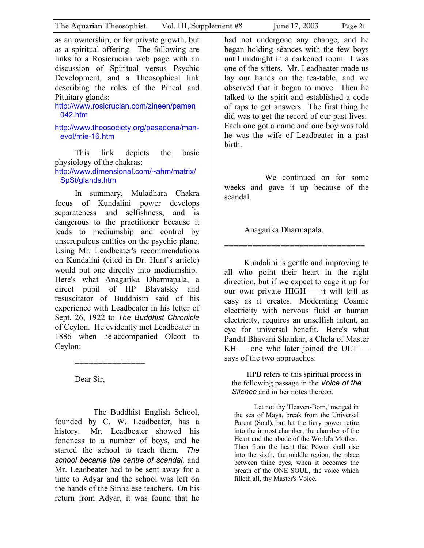as an ownership, or for private growth, but as a spiritual offering. The following are links to a Rosicrucian web page with an discussion of Spiritual versus Psychic Development, and a Theosophical link describing the roles of the Pineal and Pituitary glands:

[http://www.rosicrucian.com/zineen/pamen](http://www.rosicrucian.com/zineen/pamen042.htm) [042.htm](http://www.rosicrucian.com/zineen/pamen042.htm)

[http://www.theosociety.org/pasadena/man](http://www.theosociety.org/pasadena/man-evol/mie-16.htm)[evol/mie-16.htm](http://www.theosociety.org/pasadena/man-evol/mie-16.htm)

This link depicts the basic physiology of the chakras:

[http://www.dimensional.com/~ahm/matrix/](http://www.dimensional.com/~ahm/matrix/SpSt/glands.htm) [SpSt/glands.htm](http://www.dimensional.com/~ahm/matrix/SpSt/glands.htm)

In summary, Muladhara Chakra focus of Kundalini power develops separateness and selfishness, and is dangerous to the practitioner because it leads to mediumship and control by unscrupulous entities on the psychic plane. Using Mr. Leadbeater's recommendations on Kundalini (cited in Dr. Hunt's article) would put one directly into mediumship. Here's what Anagarika Dharmapala, a direct pupil of HP Blavatsky and resuscitator of Buddhism said of his experience with Leadbeater in his letter of Sept. 26, 1922 to *The Buddhist Chronicle*  of Ceylon. He evidently met Leadbeater in 1886 when he accompanied Olcott to Ceylon:

Dear Sir,

===============

 The Buddhist English School, founded by C. W. Leadbeater, has a history. Mr. Leadbeater showed his fondness to a number of boys, and he started the school to teach them. *The school became the centre of scandal,* and Mr. Leadbeater had to be sent away for a time to Adyar and the school was left on the hands of the Sinhalese teachers. On his return from Adyar, it was found that he

had not undergone any change, and he began holding séances with the few boys until midnight in a darkened room. I was one of the sitters. Mr. Leadbeater made us lay our hands on the tea-table, and we observed that it began to move. Then he talked to the spirit and established a code of raps to get answers. The first thing he did was to get the record of our past lives. Each one got a name and one boy was told he was the wife of Leadbeater in a past birth.

 We continued on for some weeks and gave it up because of the scandal.

==============================

Anagarika Dharmapala.

Kundalini is gentle and improving to all who point their heart in the right direction, but if we expect to cage it up for our own private HIGH — it will kill as easy as it creates. Moderating Cosmic electricity with nervous fluid or human electricity, requires an unselfish intent, an eye for universal benefit. Here's what Pandit Bhavani Shankar, a Chela of Master  $KH$  — one who later joined the ULT says of the two approaches:

HPB refers to this spiritual process in the following passage in the *Voice of the Silence* and in her notes thereon.

Let not thy 'Heaven-Born,' merged in the sea of Maya, break from the Universal Parent (Soul), but let the fiery power retire into the inmost chamber, the chamber of the Heart and the abode of the World's Mother. Then from the heart that Power shall rise into the sixth, the middle region, the place between thine eyes, when it becomes the breath of the ONE SOUL, the voice which filleth all, thy Master's Voice.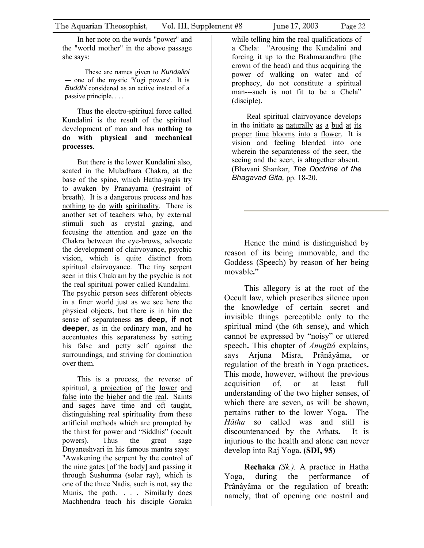In her note on the words "power" and the "world mother" in the above passage she says:

These are names given to *Kundalini —* one of the mystic 'Yogi powers'. It is *Buddhi* considered as an active instead of a passive principle. . . .

Thus the electro-spiritual force called Kundalini is the result of the spiritual development of man and has **nothing to do with physical and mechanical processes**.

But there is the lower Kundalini also, seated in the Muladhara Chakra, at the base of the spine, which Hatha-yogis try to awaken by Pranayama (restraint of breath). It is a dangerous process and has nothing to do with spirituality. There is another set of teachers who, by external stimuli such as crystal gazing, and focusing the attention and gaze on the Chakra between the eye-brows, advocate the development of clairvoyance, psychic vision, which is quite distinct from spiritual clairvoyance. The tiny serpent seen in this Chakram by the psychic is not the real spiritual power called Kundalini. The psychic person sees different objects in a finer world just as we see here the physical objects, but there is in him the sense of separateness **as deep, if not deeper**, as in the ordinary man, and he accentuates this separateness by setting his false and petty self against the surroundings, and striving for domination over them.

This is a process, the reverse of spiritual, a projection of the lower and false into the higher and the real. Saints and sages have time and oft taught, distinguishing real spirituality from these artificial methods which are prompted by the thirst for power and "Siddhis" (occult powers). Thus the great sage Dnyaneshvari in his famous mantra says: "Awakening the serpent by the control of the nine gates [of the body] and passing it through Sushumna (solar ray), which is one of the three Nadis, such is not, say the Munis, the path. . . . Similarly does Machhendra teach his disciple Gorakh

Real spiritual clairvoyance develops in the initiate as naturally as a bud at its proper time blooms into a flower. It is vision and feeling blended into one wherein the separateness of the seer, the seeing and the seen, is altogether absent. (Bhavani Shankar, *The Doctrine of the Bhagavad Gita,* pp. 18-20.

Hence the mind is distinguished by reason of its being immovable, and the Goddess (Speech) by reason of her being movable**.**"

This allegory is at the root of the Occult law, which prescribes silence upon the knowledge of certain secret and invisible things perceptible only to the spiritual mind (the 6th sense), and which cannot be expressed by "noisy" or uttered speech**.** This chapter of *Anugîtâ* explains, says Arjuna Misra, Prânâyâma, or regulation of the breath in Yoga practices**.**  This mode, however, without the previous acquisition of, or at least full understanding of the two higher senses, of which there are seven, as will be shown, pertains rather to the lower Yoga**.** The *Hâtha* so called was and still is discountenanced by the Arhats**.** It is injurious to the health and alone can never develop into Raj Yoga**. (SDI, 95)** 

**Rechaka** *(Sk.).* A practice in Hatha Yoga, during the performance Prânâyâma or the regulation of breath: namely, that of opening one nostril and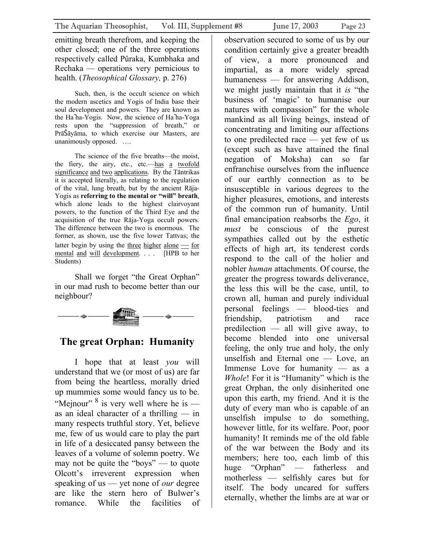emitting breath therefrom, and keeping the other closed; one of the three operations respectively called Pûraka, Kumbhaka and Rechaka — operations very pernicious to health. (*Theosophical Glossary,* p. 276)

Such, then, is the occult science on which the modern ascetics and Yogis of India base their soul development and powers. They are known as the Ha˜ha-Yogis. Now, the science of Ha˜ha-Yoga rests upon the "suppression of breath," or PrāŠāyāma, to which exercise our Masters, are unanimously opposed. ….

The science of the five breaths––the moist, the fiery, the airy, etc., etc.––has a twofold significance and two applications. By the Tāntrikas it is accepted literally, as relating to the regulation of the vital, lung breath, but by the ancient Rāja-Yogis as **referring to the mental or "will" breath**, which alone leads to the highest clairvoyant powers, to the function of the Third Eye and the acquisition of the true Rāja-Yoga occult powers. The difference between the two is enormous. The former, as shown, use the five lower Tattvas; the latter begin by using the three higher alone  $\frac{1}{\sqrt{2}}$  for mental and will development. . . . [HPB to her Students)

Shall we forget "the Great Orphan" in our mad rush to become better than our neighbour?



## **The great Orphan: Humanity**

I hope that at least *you* will understand that we (or most of us) are far from being the heartless, morally dried up mummies some would fancy us to be. "Mejnour"  $8$  is very well where he is as an ideal character of a thrilling — in many respects truthful story. Yet, believe me, few of us would care to play the part in life of a desiccated pansy between the leaves of a volume of solemn poetry. We may not be quite the "boys" — to quote Olcott's irreverent expression when speaking of us — yet none of *our* degree are like the stern hero of Bulwer's romance. While the facilities of observation secured to some of us by our condition certainly give a greater breadth of view, a more pronounced and impartial, as a more widely spread humaneness — for answering Addison, we might justly maintain that it *is* "the business of 'magic' to humanise our natures with compassion" for the whole mankind as all living beings, instead of concentrating and limiting our affections to one predilected race — yet few of us (except such as have attained the final negation of Moksha) can so far enfranchise ourselves from the influence of our earthly connection as to be insusceptible in various degrees to the higher pleasures, emotions, and interests of the common run of humanity. Until final emancipation reabsorbs the *Ego*, it *must* be conscious of the purest sympathies called out by the esthetic effects of high art, its tenderest cords respond to the call of the holier and nobler *human* attachments. Of course, the greater the progress towards deliverance, the less this will be the case, until, to crown all, human and purely individual personal feelings — blood-ties and friendship, patriotism and race predilection — all will give away, to become blended into one universal feeling, the only true and holy, the only unselfish and Eternal one — Love, an Immense Love for humanity — as a *Whole*! For it is "Humanity" which is the great Orphan, the only disinherited one upon this earth, my friend. And it is the duty of every man who is capable of an unselfish impulse to do something, however little, for its welfare. Poor, poor humanity! It reminds me of the old fable of the war between the Body and its members; here too, each limb of this huge "Orphan" — fatherless and motherless — selfishly cares but for itself. The body uncared for suffers eternally, whether the limbs are at war or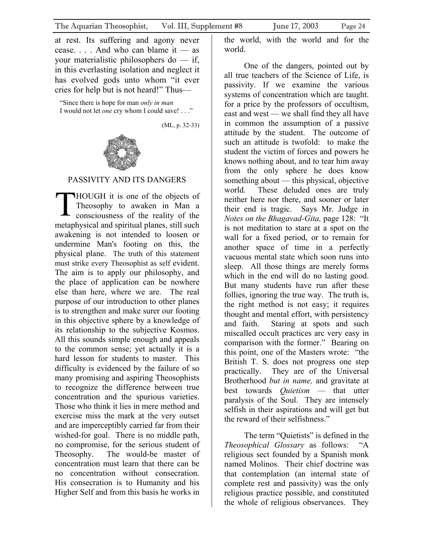<span id="page-23-0"></span>at rest. Its suffering and agony never cease. . . . And who can blame it — as your materialistic philosophers do — if, in this everlasting isolation and neglect it has evolved gods unto whom "it ever cries for help but is not heard!" Thus—

"Since there is hope for man *only in man* I would not let *one* cry whom I could save! . . ."

(ML, p. 32-33)



#### PASSIVITY AND ITS DANGERS

THOUGH it is one of the objects of consciousness of the reality of the Theosophy to awaken in Man a metaphysical and spiritual planes, still such awakening is not intended to loosen or undermine Man's footing on this, the physical plane. The truth of this statement must strike every Theosophist as self evident. The aim is to apply our philosophy, and the place of application can be nowhere else than here, where we are. The real purpose of our introduction to other planes is to strengthen and make surer our footing in this objective sphere by a knowledge of its relationship to the subjective Kosmos. All this sounds simple enough and appeals to the common sense; yet actually it is a hard lesson for students to master. This difficulty is evidenced by the failure of so many promising and aspiring Theosophists to recognize the difference between true concentration and the spurious varieties. Those who think it lies in mere method and exercise miss the mark at the very outset and are imperceptibly carried far from their wished-for goal. There is no middle path, no compromise, for the serious student of Theosophy. The would-be master of concentration must learn that there can be no concentration without consecration. His consecration is to Humanity and his Higher Self and from this basis he works in

the world, with the world and for the world.

One of the dangers, pointed out by all true teachers of the Science of Life, is passivity. If we examine the various systems of concentration which are taught. for a price by the professors of occultism, east and west — we shall find they all have in common the assumption of a passive attitude by the student. The outcome of such an attitude is twofold: to make the student the victim of forces and powers he knows nothing about, and to tear him away from the only sphere he does know something about — this physical, objective world. These deluded ones are truly neither here nor there, and sooner or later their end is tragic. Says Mr. Judge in *Notes on the Bhagavad-Gita,* page 128: "It is not meditation to stare at a spot on the wall for a fixed period, or to remain for another space of time in a perfectly vacuous mental state which soon runs into sleep. All those things are merely forms which in the end will do no lasting good. But many students have run after these follies, ignoring the true way. The truth is, the right method is not easy; it requires thought and mental effort, with persistency and faith. Staring at spots and such miscalled occult practices arc very easy in comparison with the former." Bearing on this point, one of the Masters wrote: "the British T. S. does not progress one step practically. They are of the Universal Brotherhood *but in name,* and gravitate at best towards *Quietism —* that utter paralysis of the Soul. They are intensely selfish in their aspirations and will get but the reward of their selfishness."

The term "Quietists" is defined in the *Theosophical Glossary* as follows: "A religious sect founded by a Spanish monk named Molinos. Their chief doctrine was that contemplation (an internal state of complete rest and passivity) was the only religious practice possible, and constituted the whole of religious observances. They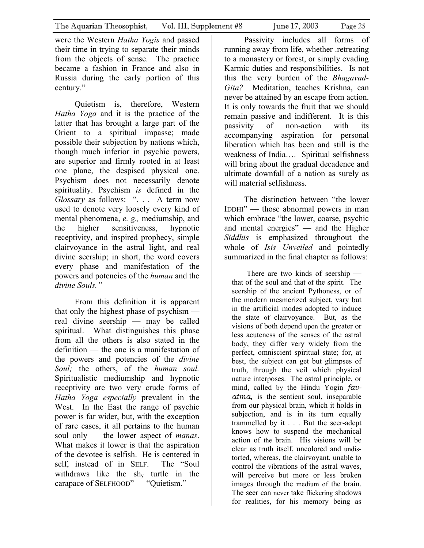were the Western *Hatha Yogis* and passed their time in trying to separate their minds from the objects of sense. The practice became a fashion in France and also in Russia during the early portion of this century."

Quietism is, therefore, Western *Hatha Yoga* and it is the practice of the latter that has brought a large part of the Orient to a spiritual impasse; made possible their subjection by nations which, though much inferior in psychic powers, are superior and firmly rooted in at least one plane, the despised physical one. Psychism does not necessarily denote spirituality. Psychism *is* defined in the *Glossary* as follows: ". . . A term now used to denote very loosely every kind of mental phenomena, *e. g.,* mediumship, and the higher sensitiveness, hypnotic receptivity, and inspired prophecy, simple clairvoyance in the astral light, and real divine seership; in short, the word covers every phase and manifestation of the powers and potencies of the *human* and the *divine Souls."* 

From this definition it is apparent that only the highest phase of psychism real divine seership — may be called spiritual. What distinguishes this phase from all the others is also stated in the definition — the one is a manifestation of the powers and potencies of the *divine Soul;* the others, of the *human soul.*  Spiritualistic mediumship and hypnotic receptivity are two very crude forms of *Hatha Yoga especially* prevalent in the West. In the East the range of psychic power is far wider, but, with the exception of rare cases, it all pertains to the human soul only — the lower aspect of *manas*. What makes it lower is that the aspiration of the devotee is selfish. He is centered in self, instead of in SELF. The "Soul withdraws like the  $sh_v$  turtle in the carapace of SELFHOOD" — "Quietism."

Passivity includes all forms of running away from life, whether .retreating to a monastery or forest, or simply evading Karmic duties and responsibilities. Is not this the very burden of the *Bhagavad-Gita?* Meditation, teaches Krishna, can never be attained by an escape from action. It is only towards the fruit that we should remain passive and indifferent. It is this passivity of non-action with its accompanying aspiration for personal liberation which has been and still is the weakness of India…. Spiritual selfishness will bring about the gradual decadence and ultimate downfall of a nation as surely as will material selfishness.

The distinction between "the lower IDDHI" — those abnormal powers in man which embrace "the lower, coarse, psychic and mental energies" — and the Higher *Siddhis* is emphasized throughout the whole of *Isis Unveiled* and pointedly summarized in the final chapter as follows:

There are two kinds of seership that of the soul and that of the spirit. The seership of the ancient Pythoness, or of the modern mesmerized subject, vary but in the artificial modes adopted to induce the state of clairvoyance. But, as the visions of both depend upon the greater or less acuteness of the senses of the astral body, they differ very widely from the perfect, omniscient spiritual state; for, at best, the subject can get but glimpses of truth, through the veil which physical nature interposes. The astral principle, or mind, called by the Hindu Yogin *favatma,* is the sentient soul, inseparable from our physical brain, which it holds in subjection, and is in its turn equally trammelled by it . . . But the seer-adept knows how to suspend the mechanical action of the brain. His visions will be clear as truth itself, uncolored and undistorted, whereas, the clairvoyant, unable to control the vibrations of the astral waves, will perceive but more or less broken images through the medium of the brain. The seer can never take flickering shadows for realities, for his memory being as